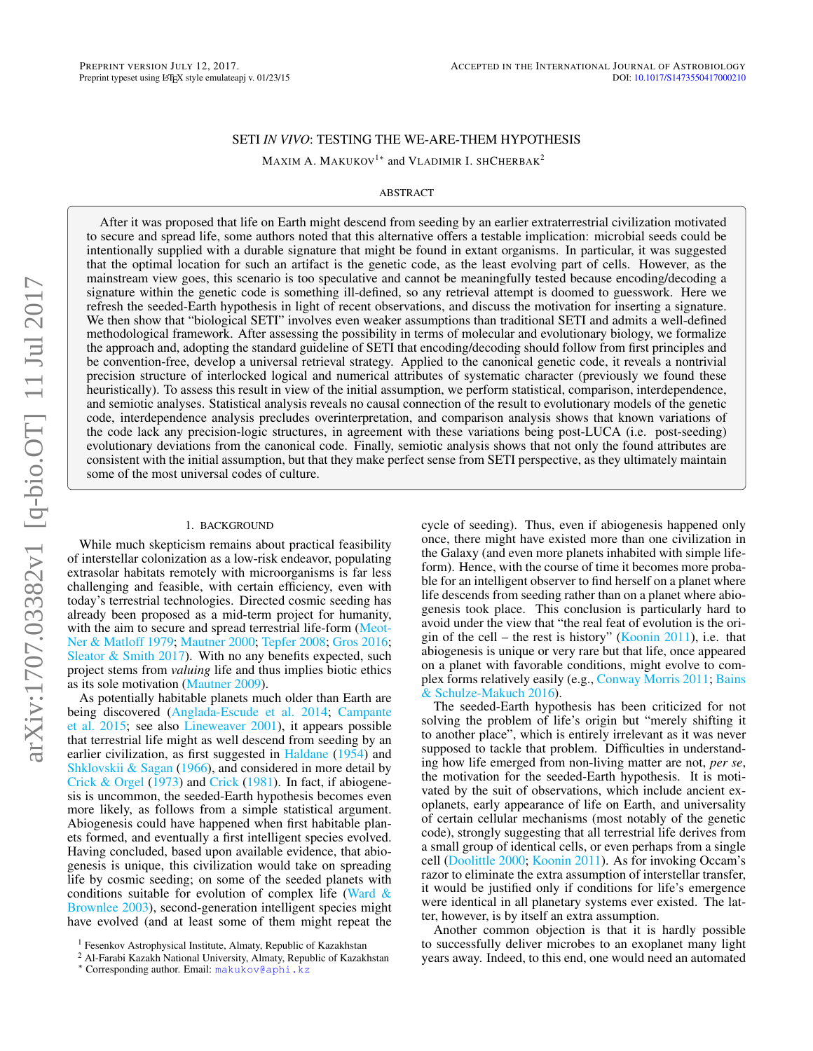# SETI *IN VIVO*: TESTING THE WE-ARE-THEM HYPOTHESIS

MAXIM A. MAKUKOV $^{1*}$  and VLADIMIR I. SHCHERBAK $^2$ 

#### ABSTRACT

After it was proposed that life on Earth might descend from seeding by an earlier extraterrestrial civilization motivated to secure and spread life, some authors noted that this alternative offers a testable implication: microbial seeds could be intentionally supplied with a durable signature that might be found in extant organisms. In particular, it was suggested that the optimal location for such an artifact is the genetic code, as the least evolving part of cells. However, as the mainstream view goes, this scenario is too speculative and cannot be meaningfully tested because encoding/decoding a signature within the genetic code is something ill-defined, so any retrieval attempt is doomed to guesswork. Here we refresh the seeded-Earth hypothesis in light of recent observations, and discuss the motivation for inserting a signature. We then show that "biological SETI" involves even weaker assumptions than traditional SETI and admits a well-defined methodological framework. After assessing the possibility in terms of molecular and evolutionary biology, we formalize the approach and, adopting the standard guideline of SETI that encoding/decoding should follow from first principles and be convention-free, develop a universal retrieval strategy. Applied to the canonical genetic code, it reveals a nontrivial precision structure of interlocked logical and numerical attributes of systematic character (previously we found these heuristically). To assess this result in view of the initial assumption, we perform statistical, comparison, interdependence, and semiotic analyses. Statistical analysis reveals no causal connection of the result to evolutionary models of the genetic code, interdependence analysis precludes overinterpretation, and comparison analysis shows that known variations of the code lack any precision-logic structures, in agreement with these variations being post-LUCA (i.e. post-seeding) evolutionary deviations from the canonical code. Finally, semiotic analysis shows that not only the found attributes are consistent with the initial assumption, but that they make perfect sense from SETI perspective, as they ultimately maintain some of the most universal codes of culture.

### 1. BACKGROUND

<span id="page-0-0"></span>While much skepticism remains about practical feasibility of interstellar colonization as a low-risk endeavor, populating extrasolar habitats remotely with microorganisms is far less challenging and feasible, with certain efficiency, even with today's terrestrial technologies. Directed cosmic seeding has already been proposed as a mid-term project for humanity, with the aim to secure and spread terrestrial life-form [\(Meot-](#page-17-0)[Ner & Matloff](#page-17-0) [1979;](#page-17-0) [Mautner](#page-17-1) [2000;](#page-17-1) [Tepfer](#page-17-2) [2008;](#page-17-2) [Gros](#page-16-0) [2016;](#page-16-0) [Sleator & Smith](#page-17-3) [2017\)](#page-17-3). With no any benefits expected, such project stems from *valuing* life and thus implies biotic ethics as its sole motivation [\(Mautner](#page-17-4) [2009\)](#page-17-4).

As potentially habitable planets much older than Earth are being discovered [\(Anglada-Escude et al.](#page-16-1) [2014;](#page-16-1) [Campante](#page-16-2) [et al.](#page-16-2) [2015;](#page-16-2) see also [Lineweaver](#page-16-3) [2001\)](#page-16-3), it appears possible that terrestrial life might as well descend from seeding by an earlier civilization, as first suggested in [Haldane](#page-16-4) [\(1954\)](#page-16-4) and [Shklovskii & Sagan](#page-17-5) [\(1966\)](#page-17-5), and considered in more detail by [Crick & Orgel](#page-16-5) [\(1973\)](#page-16-5) and [Crick](#page-16-6) [\(1981\)](#page-16-6). In fact, if abiogenesis is uncommon, the seeded-Earth hypothesis becomes even more likely, as follows from a simple statistical argument. Abiogenesis could have happened when first habitable planets formed, and eventually a first intelligent species evolved. Having concluded, based upon available evidence, that abiogenesis is unique, this civilization would take on spreading life by cosmic seeding; on some of the seeded planets with conditions suitable for evolution of complex life [\(Ward &](#page-17-6) [Brownlee](#page-17-6) [2003\)](#page-17-6), second-generation intelligent species might have evolved (and at least some of them might repeat the

cycle of seeding). Thus, even if abiogenesis happened only once, there might have existed more than one civilization in the Galaxy (and even more planets inhabited with simple lifeform). Hence, with the course of time it becomes more probable for an intelligent observer to find herself on a planet where life descends from seeding rather than on a planet where abiogenesis took place. This conclusion is particularly hard to avoid under the view that "the real feat of evolution is the origin of the cell – the rest is history" [\(Koonin](#page-16-7) [2011\)](#page-16-7), i.e. that abiogenesis is unique or very rare but that life, once appeared on a planet with favorable conditions, might evolve to complex forms relatively easily (e.g., [Conway Morris](#page-16-8) [2011;](#page-16-8) [Bains](#page-16-9) [& Schulze-Makuch](#page-16-9) [2016\)](#page-16-9).

The seeded-Earth hypothesis has been criticized for not solving the problem of life's origin but "merely shifting it to another place", which is entirely irrelevant as it was never supposed to tackle that problem. Difficulties in understanding how life emerged from non-living matter are not, *per se*, the motivation for the seeded-Earth hypothesis. It is motivated by the suit of observations, which include ancient exoplanets, early appearance of life on Earth, and universality of certain cellular mechanisms (most notably of the genetic code), strongly suggesting that all terrestrial life derives from a small group of identical cells, or even perhaps from a single cell [\(Doolittle](#page-16-10) [2000;](#page-16-10) [Koonin](#page-16-7) [2011\)](#page-16-7). As for invoking Occam's razor to eliminate the extra assumption of interstellar transfer, it would be justified only if conditions for life's emergence were identical in all planetary systems ever existed. The latter, however, is by itself an extra assumption.

Another common objection is that it is hardly possible to successfully deliver microbes to an exoplanet many light years away. Indeed, to this end, one would need an automated

<sup>1</sup> Fesenkov Astrophysical Institute, Almaty, Republic of Kazakhstan

<sup>2</sup> Al-Farabi Kazakh National University, Almaty, Republic of Kazakhstan

<sup>∗</sup> Corresponding author. Email: [makukov@aphi.kz](mailto:makukov@aphi.kz)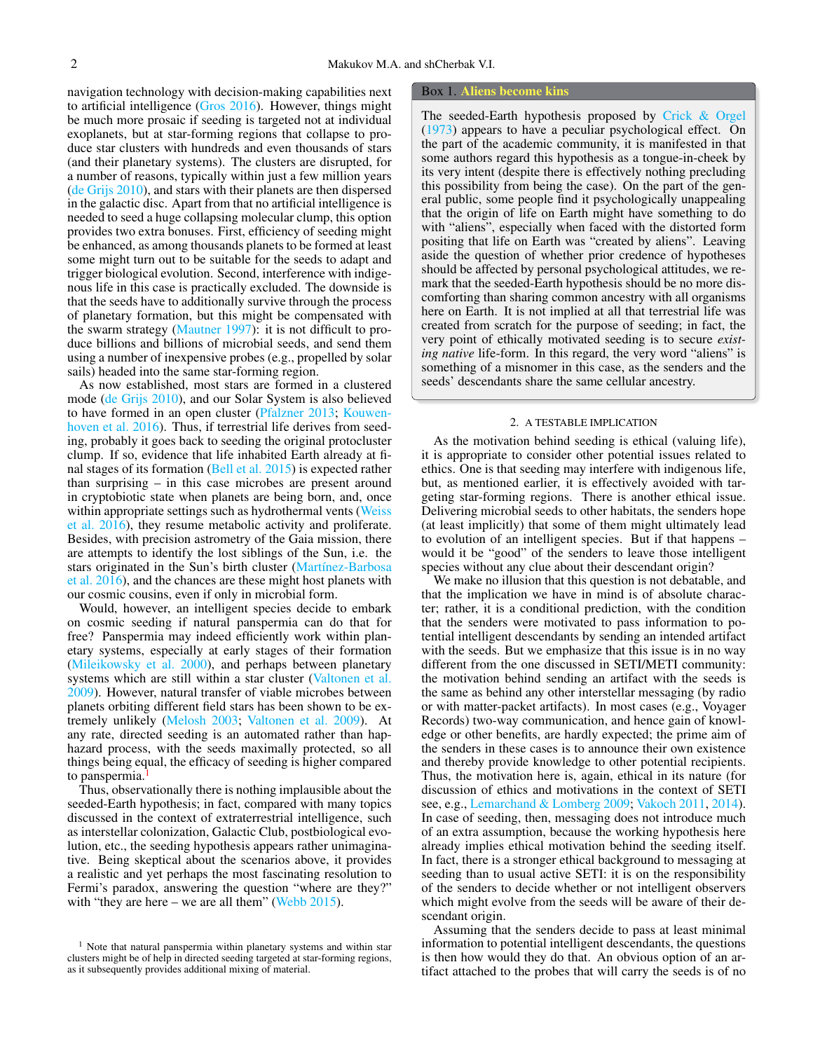navigation technology with decision-making capabilities next to artificial intelligence [\(Gros](#page-16-0) [2016\)](#page-16-0). However, things might be much more prosaic if seeding is targeted not at individual exoplanets, but at star-forming regions that collapse to produce star clusters with hundreds and even thousands of stars (and their planetary systems). The clusters are disrupted, for a number of reasons, typically within just a few million years [\(de Grijs](#page-16-11) [2010\)](#page-16-11), and stars with their planets are then dispersed in the galactic disc. Apart from that no artificial intelligence is needed to seed a huge collapsing molecular clump, this option provides two extra bonuses. First, efficiency of seeding might be enhanced, as among thousands planets to be formed at least some might turn out to be suitable for the seeds to adapt and trigger biological evolution. Second, interference with indigenous life in this case is practically excluded. The downside is that the seeds have to additionally survive through the process of planetary formation, but this might be compensated with the swarm strategy [\(Mautner](#page-17-7) [1997\)](#page-17-7): it is not difficult to produce billions and billions of microbial seeds, and send them using a number of inexpensive probes (e.g., propelled by solar sails) headed into the same star-forming region.

As now established, most stars are formed in a clustered mode [\(de Grijs](#page-16-11) [2010\)](#page-16-11), and our Solar System is also believed to have formed in an open cluster [\(Pfalzner](#page-17-8) [2013;](#page-17-8) [Kouwen](#page-16-12)[hoven et al.](#page-16-12) [2016\)](#page-16-12). Thus, if terrestrial life derives from seeding, probably it goes back to seeding the original protocluster clump. If so, evidence that life inhabited Earth already at final stages of its formation [\(Bell et al.](#page-16-13) [2015\)](#page-16-13) is expected rather than surprising – in this case microbes are present around in cryptobiotic state when planets are being born, and, once within appropriate settings such as hydrothermal vents [\(Weiss](#page-17-9) [et al.](#page-17-9) [2016\)](#page-17-9), they resume metabolic activity and proliferate. Besides, with precision astrometry of the Gaia mission, there are attempts to identify the lost siblings of the Sun, i.e. the stars originated in the Sun's birth cluster [\(Martínez-Barbosa](#page-17-10) [et al.](#page-17-10) [2016\)](#page-17-10), and the chances are these might host planets with our cosmic cousins, even if only in microbial form.

Would, however, an intelligent species decide to embark on cosmic seeding if natural panspermia can do that for free? Panspermia may indeed efficiently work within planetary systems, especially at early stages of their formation [\(Mileikowsky et al.](#page-17-11) [2000\)](#page-17-11), and perhaps between planetary systems which are still within a star cluster [\(Valtonen et al.](#page-17-12) [2009\)](#page-17-12). However, natural transfer of viable microbes between planets orbiting different field stars has been shown to be extremely unlikely [\(Melosh](#page-17-13) [2003;](#page-17-13) [Valtonen et al.](#page-17-12) [2009\)](#page-17-12). At any rate, directed seeding is an automated rather than haphazard process, with the seeds maximally protected, so all things being equal, the efficacy of seeding is higher compared to panspermia.

Thus, observationally there is nothing implausible about the seeded-Earth hypothesis; in fact, compared with many topics discussed in the context of extraterrestrial intelligence, such as interstellar colonization, Galactic Club, postbiological evolution, etc., the seeding hypothesis appears rather unimaginative. Being skeptical about the scenarios above, it provides a realistic and yet perhaps the most fascinating resolution to Fermi's paradox, answering the question "where are they?" with "they are here – we are all them" [\(Webb](#page-17-14)  $2015$ ).

## Box 1. Aliens become kins

The seeded-Earth hypothesis proposed by [Crick & Orgel](#page-16-5) [\(1973\)](#page-16-5) appears to have a peculiar psychological effect. On the part of the academic community, it is manifested in that some authors regard this hypothesis as a tongue-in-cheek by its very intent (despite there is effectively nothing precluding this possibility from being the case). On the part of the general public, some people find it psychologically unappealing that the origin of life on Earth might have something to do with "aliens", especially when faced with the distorted form positing that life on Earth was "created by aliens". Leaving aside the question of whether prior credence of hypotheses should be affected by personal psychological attitudes, we remark that the seeded-Earth hypothesis should be no more discomforting than sharing common ancestry with all organisms here on Earth. It is not implied at all that terrestrial life was created from scratch for the purpose of seeding; in fact, the very point of ethically motivated seeding is to secure *existing native* life-form. In this regard, the very word "aliens" is something of a misnomer in this case, as the senders and the seeds' descendants share the same cellular ancestry.

#### 2. A TESTABLE IMPLICATION

<span id="page-1-1"></span>As the motivation behind seeding is ethical (valuing life), it is appropriate to consider other potential issues related to ethics. One is that seeding may interfere with indigenous life, but, as mentioned earlier, it is effectively avoided with targeting star-forming regions. There is another ethical issue. Delivering microbial seeds to other habitats, the senders hope (at least implicitly) that some of them might ultimately lead to evolution of an intelligent species. But if that happens – would it be "good" of the senders to leave those intelligent species without any clue about their descendant origin?

We make no illusion that this question is not debatable, and that the implication we have in mind is of absolute character; rather, it is a conditional prediction, with the condition that the senders were motivated to pass information to potential intelligent descendants by sending an intended artifact with the seeds. But we emphasize that this issue is in no way different from the one discussed in SETI/METI community: the motivation behind sending an artifact with the seeds is the same as behind any other interstellar messaging (by radio or with matter-packet artifacts). In most cases (e.g., Voyager Records) two-way communication, and hence gain of knowledge or other benefits, are hardly expected; the prime aim of the senders in these cases is to announce their own existence and thereby provide knowledge to other potential recipients. Thus, the motivation here is, again, ethical in its nature (for discussion of ethics and motivations in the context of SETI see, e.g., [Lemarchand & Lomberg](#page-16-14) [2009;](#page-16-14) [Vakoch](#page-17-15) [2011,](#page-17-15) [2014\)](#page-17-16). In case of seeding, then, messaging does not introduce much of an extra assumption, because the working hypothesis here already implies ethical motivation behind the seeding itself. In fact, there is a stronger ethical background to messaging at seeding than to usual active SETI: it is on the responsibility of the senders to decide whether or not intelligent observers which might evolve from the seeds will be aware of their descendant origin.

Assuming that the senders decide to pass at least minimal information to potential intelligent descendants, the questions is then how would they do that. An obvious option of an artifact attached to the probes that will carry the seeds is of no

<span id="page-1-0"></span><sup>&</sup>lt;sup>1</sup> Note that natural panspermia within planetary systems and within star clusters might be of help in directed seeding targeted at star-forming regions, as it subsequently provides additional mixing of material.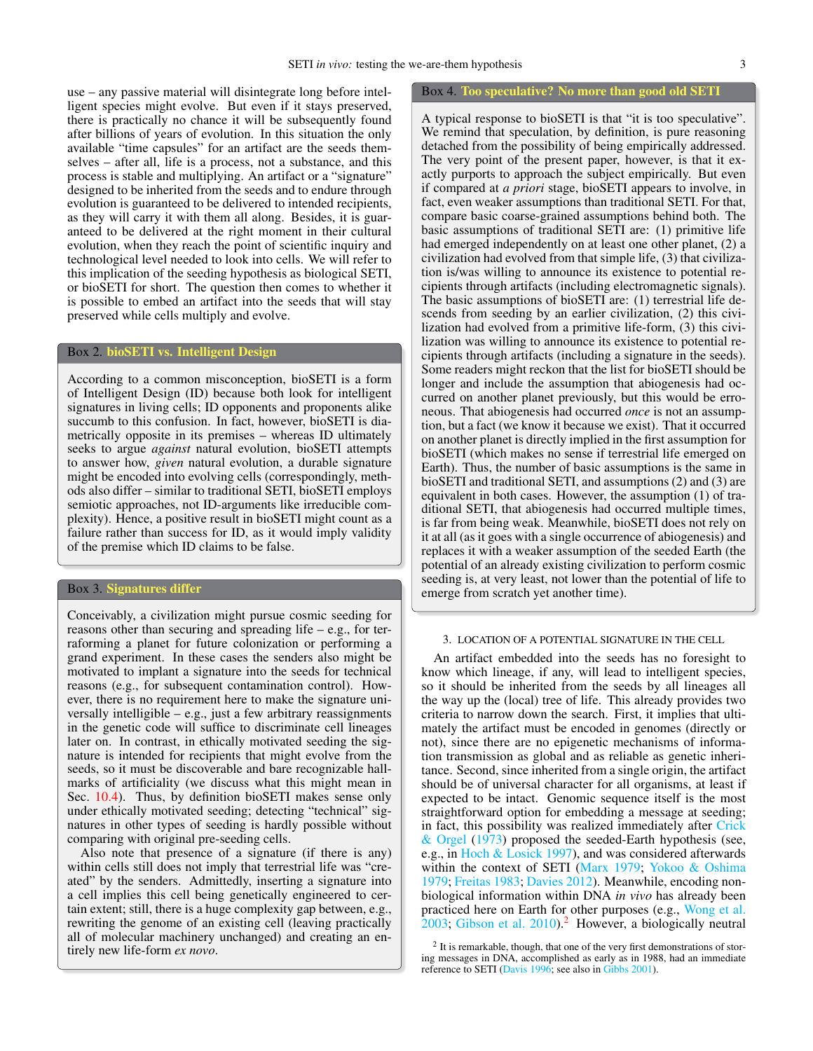use – any passive material will disintegrate long before intelligent species might evolve. But even if it stays preserved, there is practically no chance it will be subsequently found after billions of years of evolution. In this situation the only available "time capsules" for an artifact are the seeds themselves – after all, life is a process, not a substance, and this process is stable and multiplying. An artifact or a "signature" designed to be inherited from the seeds and to endure through evolution is guaranteed to be delivered to intended recipients, as they will carry it with them all along. Besides, it is guaranteed to be delivered at the right moment in their cultural evolution, when they reach the point of scientific inquiry and technological level needed to look into cells. We will refer to this implication of the seeding hypothesis as biological SETI, or bioSETI for short. The question then comes to whether it is possible to embed an artifact into the seeds that will stay preserved while cells multiply and evolve.

### Box 2. bioSETI vs. Intelligent Design

According to a common misconception, bioSETI is a form of Intelligent Design (ID) because both look for intelligent signatures in living cells; ID opponents and proponents alike succumb to this confusion. In fact, however, bioSETI is diametrically opposite in its premises – whereas ID ultimately seeks to argue *against* natural evolution, bioSETI attempts to answer how, *given* natural evolution, a durable signature might be encoded into evolving cells (correspondingly, methods also differ – similar to traditional SETI, bioSETI employs semiotic approaches, not ID-arguments like irreducible complexity). Hence, a positive result in bioSETI might count as a failure rather than success for ID, as it would imply validity of the premise which ID claims to be false.

# Box 3. Signatures differ

Conceivably, a civilization might pursue cosmic seeding for reasons other than securing and spreading life – e.g., for terraforming a planet for future colonization or performing a grand experiment. In these cases the senders also might be motivated to implant a signature into the seeds for technical reasons (e.g., for subsequent contamination control). However, there is no requirement here to make the signature universally intelligible – e.g., just a few arbitrary reassignments in the genetic code will suffice to discriminate cell lineages later on. In contrast, in ethically motivated seeding the signature is intended for recipients that might evolve from the seeds, so it must be discoverable and bare recognizable hallmarks of artificiality (we discuss what this might mean in Sec. [10.4\)](#page-11-0). Thus, by definition bioSETI makes sense only under ethically motivated seeding; detecting "technical" signatures in other types of seeding is hardly possible without comparing with original pre-seeding cells.

Also note that presence of a signature (if there is any) within cells still does not imply that terrestrial life was "created" by the senders. Admittedly, inserting a signature into a cell implies this cell being genetically engineered to certain extent; still, there is a huge complexity gap between, e.g., rewriting the genome of an existing cell (leaving practically all of molecular machinery unchanged) and creating an entirely new life-form *ex novo*.

## Box 4. Too speculative? No more than good old SETI

A typical response to bioSETI is that "it is too speculative". We remind that speculation, by definition, is pure reasoning detached from the possibility of being empirically addressed. The very point of the present paper, however, is that it exactly purports to approach the subject empirically. But even if compared at *a priori* stage, bioSETI appears to involve, in fact, even weaker assumptions than traditional SETI. For that, compare basic coarse-grained assumptions behind both. The basic assumptions of traditional SETI are: (1) primitive life had emerged independently on at least one other planet, (2) a civilization had evolved from that simple life, (3) that civilization is/was willing to announce its existence to potential recipients through artifacts (including electromagnetic signals). The basic assumptions of bioSETI are: (1) terrestrial life descends from seeding by an earlier civilization, (2) this civilization had evolved from a primitive life-form, (3) this civilization was willing to announce its existence to potential recipients through artifacts (including a signature in the seeds). Some readers might reckon that the list for bioSETI should be longer and include the assumption that abiogenesis had occurred on another planet previously, but this would be erroneous. That abiogenesis had occurred *once* is not an assumption, but a fact (we know it because we exist). That it occurred on another planet is directly implied in the first assumption for bioSETI (which makes no sense if terrestrial life emerged on Earth). Thus, the number of basic assumptions is the same in bioSETI and traditional SETI, and assumptions (2) and (3) are equivalent in both cases. However, the assumption (1) of traditional SETI, that abiogenesis had occurred multiple times, is far from being weak. Meanwhile, bioSETI does not rely on it at all (as it goes with a single occurrence of abiogenesis) and replaces it with a weaker assumption of the seeded Earth (the potential of an already existing civilization to perform cosmic seeding is, at very least, not lower than the potential of life to emerge from scratch yet another time).

#### 3. LOCATION OF A POTENTIAL SIGNATURE IN THE CELL

An artifact embedded into the seeds has no foresight to know which lineage, if any, will lead to intelligent species, so it should be inherited from the seeds by all lineages all the way up the (local) tree of life. This already provides two criteria to narrow down the search. First, it implies that ultimately the artifact must be encoded in genomes (directly or not), since there are no epigenetic mechanisms of information transmission as global and as reliable as genetic inheritance. Second, since inherited from a single origin, the artifact should be of universal character for all organisms, at least if expected to be intact. Genomic sequence itself is the most straightforward option for embedding a message at seeding; in fact, this possibility was realized immediately after [Crick](#page-16-5) [& Orgel](#page-16-5) [\(1973\)](#page-16-5) proposed the seeded-Earth hypothesis (see, e.g., in [Hoch & Losick](#page-16-15) [1997\)](#page-16-15), and was considered afterwards within the context of SETI [\(Marx](#page-17-17) [1979;](#page-17-17) [Yokoo & Oshima](#page-17-18) [1979;](#page-17-18) [Freitas](#page-16-16) [1983;](#page-16-16) [Davies](#page-16-17) [2012\)](#page-16-17). Meanwhile, encoding nonbiological information within DNA *in vivo* has already been practiced here on Earth for other purposes (e.g., [Wong et al.](#page-17-19)  $2003$  $2003$ ; [Gibson et al.](#page-16-18)  $2010$ ).<sup>2</sup> However, a biologically neutral

<span id="page-2-0"></span><sup>&</sup>lt;sup>2</sup> It is remarkable, though, that one of the very first demonstrations of storing messages in DNA, accomplished as early as in 1988, had an immediate reference to SETI [\(Davis](#page-16-19) [1996;](#page-16-19) see also in [Gibbs](#page-16-20) [2001\)](#page-16-20).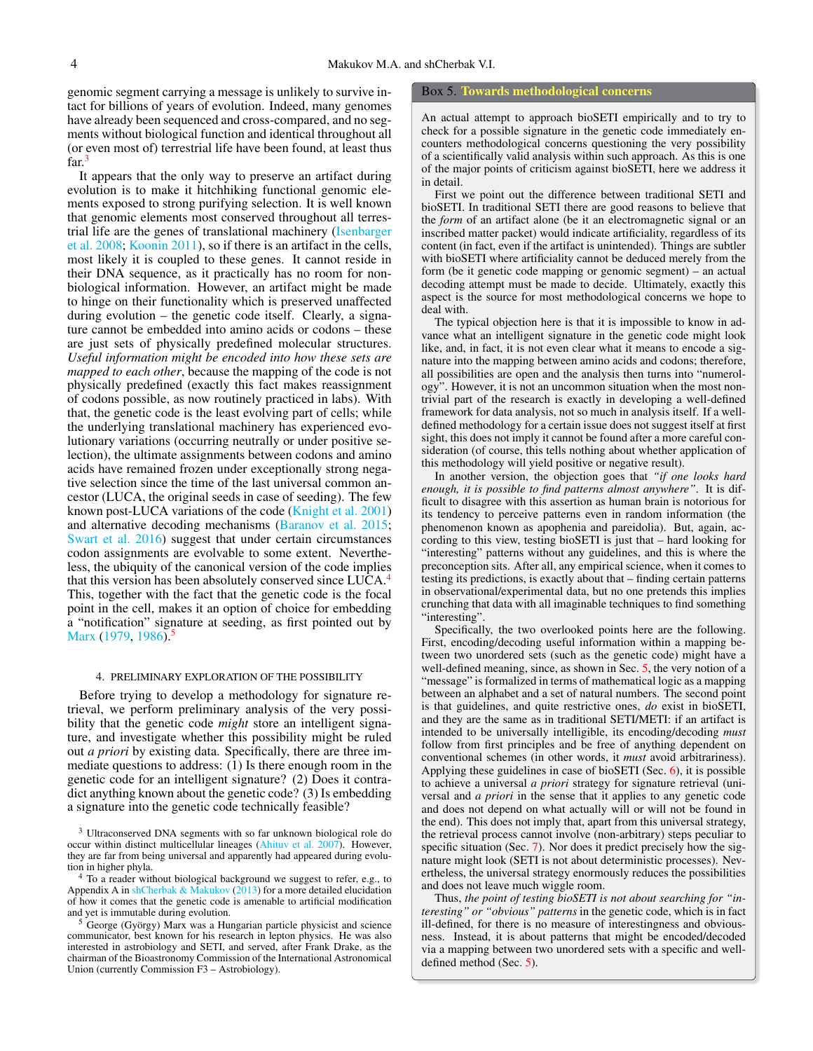genomic segment carrying a message is unlikely to survive intact for billions of years of evolution. Indeed, many genomes have already been sequenced and cross-compared, and no segments without biological function and identical throughout all (or even most of) terrestrial life have been found, at least thus far.

It appears that the only way to preserve an artifact during evolution is to make it hitchhiking functional genomic elements exposed to strong purifying selection. It is well known that genomic elements most conserved throughout all terrestrial life are the genes of translational machinery [\(Isenbarger](#page-16-21) [et al.](#page-16-21) [2008;](#page-16-21) [Koonin](#page-16-7) [2011\)](#page-16-7), so if there is an artifact in the cells, most likely it is coupled to these genes. It cannot reside in their DNA sequence, as it practically has no room for nonbiological information. However, an artifact might be made to hinge on their functionality which is preserved unaffected during evolution – the genetic code itself. Clearly, a signature cannot be embedded into amino acids or codons – these are just sets of physically predefined molecular structures. *Useful information might be encoded into how these sets are mapped to each other*, because the mapping of the code is not physically predefined (exactly this fact makes reassignment of codons possible, as now routinely practiced in labs). With that, the genetic code is the least evolving part of cells; while the underlying translational machinery has experienced evolutionary variations (occurring neutrally or under positive selection), the ultimate assignments between codons and amino acids have remained frozen under exceptionally strong negative selection since the time of the last universal common ancestor (LUCA, the original seeds in case of seeding). The few known post-LUCA variations of the code [\(Knight et al.](#page-16-22) [2001\)](#page-16-22) and alternative decoding mechanisms [\(Baranov et al.](#page-16-23) [2015;](#page-16-23) [Swart et al.](#page-17-20) [2016\)](#page-17-20) suggest that under certain circumstances codon assignments are evolvable to some extent. Nevertheless, the ubiquity of the canonical version of the code implies that this version has been absolutely conserved since LUCA.<sup>[4](#page-3-1)</sup> This, together with the fact that the genetic code is the focal point in the cell, makes it an option of choice for embedding a "notification" signature at seeding, as first pointed out by [Marx](#page-17-17) [\(1979,](#page-17-17) [1986\)](#page-17-21).<sup>[5](#page-3-2)</sup>

## 4. PRELIMINARY EXPLORATION OF THE POSSIBILITY

Before trying to develop a methodology for signature retrieval, we perform preliminary analysis of the very possibility that the genetic code *might* store an intelligent signature, and investigate whether this possibility might be ruled out *a priori* by existing data. Specifically, there are three immediate questions to address: (1) Is there enough room in the genetic code for an intelligent signature? (2) Does it contradict anything known about the genetic code? (3) Is embedding a signature into the genetic code technically feasible?

<span id="page-3-0"></span><sup>3</sup> Ultraconserved DNA segments with so far unknown biological role do occur within distinct multicellular lineages [\(Ahituv et al.](#page-16-24) [2007\)](#page-16-24). However, they are far from being universal and apparently had appeared during evolution in higher phyla.

<span id="page-3-1"></span><sup>4</sup> To a reader without biological background we suggest to refer, e.g., to Appendix A in [shCherbak & Makukov](#page-17-22) [\(2013\)](#page-17-22) for a more detailed elucidation of how it comes that the genetic code is amenable to artificial modification and yet is immutable during evolution.

<span id="page-3-2"></span><sup>5</sup> George (György) Marx was a Hungarian particle physicist and science communicator, best known for his research in lepton physics. He was also interested in astrobiology and SETI, and served, after Frank Drake, as the chairman of the Bioastronomy Commission of the International Astronomical Union (currently Commission F3 – Astrobiology).

## <span id="page-3-3"></span>Box 5. Towards methodological concerns

An actual attempt to approach bioSETI empirically and to try to check for a possible signature in the genetic code immediately encounters methodological concerns questioning the very possibility of a scientifically valid analysis within such approach. As this is one of the major points of criticism against bioSETI, here we address it in detail.

First we point out the difference between traditional SETI and bioSETI. In traditional SETI there are good reasons to believe that the *form* of an artifact alone (be it an electromagnetic signal or an inscribed matter packet) would indicate artificiality, regardless of its content (in fact, even if the artifact is unintended). Things are subtler with bioSETI where artificiality cannot be deduced merely from the form (be it genetic code mapping or genomic segment) – an actual decoding attempt must be made to decide. Ultimately, exactly this aspect is the source for most methodological concerns we hope to deal with.

The typical objection here is that it is impossible to know in advance what an intelligent signature in the genetic code might look like, and, in fact, it is not even clear what it means to encode a signature into the mapping between amino acids and codons; therefore, all possibilities are open and the analysis then turns into "numerology". However, it is not an uncommon situation when the most nontrivial part of the research is exactly in developing a well-defined framework for data analysis, not so much in analysis itself. If a welldefined methodology for a certain issue does not suggest itself at first sight, this does not imply it cannot be found after a more careful consideration (of course, this tells nothing about whether application of this methodology will yield positive or negative result).

In another version, the objection goes that *"if one looks hard enough, it is possible to find patterns almost anywhere"*. It is difficult to disagree with this assertion as human brain is notorious for its tendency to perceive patterns even in random information (the phenomenon known as apophenia and pareidolia). But, again, according to this view, testing bioSETI is just that – hard looking for "interesting" patterns without any guidelines, and this is where the preconception sits. After all, any empirical science, when it comes to testing its predictions, is exactly about that – finding certain patterns in observational/experimental data, but no one pretends this implies crunching that data with all imaginable techniques to find something "interesting".

Specifically, the two overlooked points here are the following. First, encoding/decoding useful information within a mapping between two unordered sets (such as the genetic code) might have a well-defined meaning, since, as shown in Sec. [5,](#page-5-0) the very notion of a "message" is formalized in terms of mathematical logic as a mapping between an alphabet and a set of natural numbers. The second point is that guidelines, and quite restrictive ones, *do* exist in bioSETI, and they are the same as in traditional SETI/METI: if an artifact is intended to be universally intelligible, its encoding/decoding *must* follow from first principles and be free of anything dependent on conventional schemes (in other words, it *must* avoid arbitrariness). Applying these guidelines in case of bioSETI (Sec.  $\overline{6}$ ), it is possible to achieve a universal *a priori* strategy for signature retrieval (universal and *a priori* in the sense that it applies to any genetic code and does not depend on what actually will or will not be found in the end). This does not imply that, apart from this universal strategy, the retrieval process cannot involve (non-arbitrary) steps peculiar to specific situation (Sec. [7\)](#page-7-0). Nor does it predict precisely how the signature might look (SETI is not about deterministic processes). Nevertheless, the universal strategy enormously reduces the possibilities and does not leave much wiggle room.

Thus, *the point of testing bioSETI is not about searching for "interesting" or "obvious" patterns* in the genetic code, which is in fact ill-defined, for there is no measure of interestingness and obviousness. Instead, it is about patterns that might be encoded/decoded via a mapping between two unordered sets with a specific and welldefined method (Sec. [5\)](#page-5-0).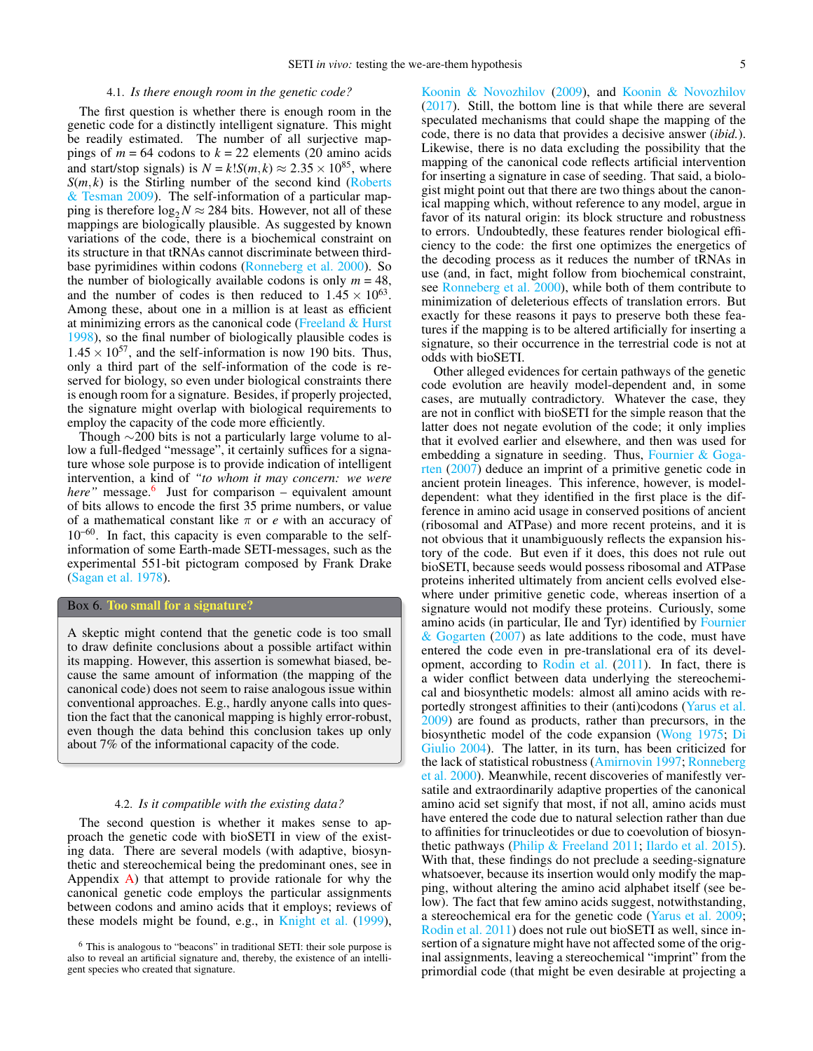#### 4.1. *Is there enough room in the genetic code?*

The first question is whether there is enough room in the genetic code for a distinctly intelligent signature. This might be readily estimated. The number of all surjective mappings of  $m = 64$  codons to  $k = 22$  elements (20 amino acids and start/stop signals) is  $N = k!S(m, k) \approx 2.35 \times 10^{85}$ , where  $S(m, k)$  is the Stirling number of the second kind [\(Roberts](#page-17-23) [& Tesman](#page-17-23) [2009\)](#page-17-23). The self-information of a particular mapping is therefore  $log_2 N \approx 284$  bits. However, not all of these mappings are biologically plausible. As suggested by known variations of the code, there is a biochemical constraint on its structure in that tRNAs cannot discriminate between thirdbase pyrimidines within codons [\(Ronneberg et al.](#page-17-24) [2000\)](#page-17-24). So the number of biologically available codons is only  $m = 48$ , and the number of codes is then reduced to  $1.45 \times 10^{63}$ . Among these, about one in a million is at least as efficient at minimizing errors as the canonical code (Freeland  $&$  Hurst [1998\)](#page-16-25), so the final number of biologically plausible codes is  $1.45 \times 10^{57}$ , and the self-information is now 190 bits. Thus, only a third part of the self-information of the code is reserved for biology, so even under biological constraints there is enough room for a signature. Besides, if properly projected, the signature might overlap with biological requirements to employ the capacity of the code more efficiently.

Though ∼200 bits is not a particularly large volume to allow a full-fledged "message", it certainly suffices for a signature whose sole purpose is to provide indication of intelligent intervention, a kind of *"to whom it may concern: we were* here" message.<sup>[6](#page-4-0)</sup> Just for comparison – equivalent amount of bits allows to encode the first 35 prime numbers, or value of a mathematical constant like π or *e* with an accuracy of  $10^{-60}$ . In fact, this capacity is even comparable to the selfinformation of some Earth-made SETI-messages, such as the experimental 551-bit pictogram composed by Frank Drake [\(Sagan et al.](#page-17-25) [1978\)](#page-17-25).

# Box 6. Too small for a signature?

A skeptic might contend that the genetic code is too small to draw definite conclusions about a possible artifact within its mapping. However, this assertion is somewhat biased, because the same amount of information (the mapping of the canonical code) does not seem to raise analogous issue within conventional approaches. E.g., hardly anyone calls into question the fact that the canonical mapping is highly error-robust, even though the data behind this conclusion takes up only about 7% of the informational capacity of the code.

### 4.2. *Is it compatible with the existing data?*

<span id="page-4-1"></span>The second question is whether it makes sense to approach the genetic code with bioSETI in view of the existing data. There are several models (with adaptive, biosynthetic and stereochemical being the predominant ones, see in Appendix  $\overline{A}$ ) that attempt to provide rationale for why the canonical genetic code employs the particular assignments between codons and amino acids that it employs; reviews of these models might be found, e.g., in [Knight et al.](#page-16-26) [\(1999\)](#page-16-26),

[Koonin & Novozhilov](#page-16-27) [\(2009\)](#page-16-27), and [Koonin & Novozhilov](#page-16-28) [\(2017\)](#page-16-28). Still, the bottom line is that while there are several speculated mechanisms that could shape the mapping of the code, there is no data that provides a decisive answer (*ibid.*). Likewise, there is no data excluding the possibility that the mapping of the canonical code reflects artificial intervention for inserting a signature in case of seeding. That said, a biologist might point out that there are two things about the canonical mapping which, without reference to any model, argue in favor of its natural origin: its block structure and robustness to errors. Undoubtedly, these features render biological efficiency to the code: the first one optimizes the energetics of the decoding process as it reduces the number of tRNAs in use (and, in fact, might follow from biochemical constraint, see [Ronneberg et al.](#page-17-24) [2000\)](#page-17-24), while both of them contribute to minimization of deleterious effects of translation errors. But exactly for these reasons it pays to preserve both these features if the mapping is to be altered artificially for inserting a signature, so their occurrence in the terrestrial code is not at odds with bioSETI.

Other alleged evidences for certain pathways of the genetic code evolution are heavily model-dependent and, in some cases, are mutually contradictory. Whatever the case, they are not in conflict with bioSETI for the simple reason that the latter does not negate evolution of the code; it only implies that it evolved earlier and elsewhere, and then was used for embedding a signature in seeding. Thus, Fournier  $& Goga$ [rten](#page-16-29) [\(2007\)](#page-16-29) deduce an imprint of a primitive genetic code in ancient protein lineages. This inference, however, is modeldependent: what they identified in the first place is the difference in amino acid usage in conserved positions of ancient (ribosomal and ATPase) and more recent proteins, and it is not obvious that it unambiguously reflects the expansion history of the code. But even if it does, this does not rule out bioSETI, because seeds would possess ribosomal and ATPase proteins inherited ultimately from ancient cells evolved elsewhere under primitive genetic code, whereas insertion of a signature would not modify these proteins. Curiously, some amino acids (in particular, Ile and Tyr) identified by [Fournier](#page-16-29) [& Gogarten](#page-16-29)  $(2007)$  as late additions to the code, must have entered the code even in pre-translational era of its development, according to [Rodin et al.](#page-17-26) [\(2011\)](#page-17-26). In fact, there is a wider conflict between data underlying the stereochemical and biosynthetic models: almost all amino acids with reportedly strongest affinities to their (anti)codons [\(Yarus et al.](#page-17-27) [2009\)](#page-17-27) are found as products, rather than precursors, in the biosynthetic model of the code expansion [\(Wong](#page-17-28) [1975;](#page-17-28) [Di](#page-16-30) [Giulio](#page-16-30) [2004\)](#page-16-30). The latter, in its turn, has been criticized for the lack of statistical robustness [\(Amirnovin](#page-16-31) [1997;](#page-16-31) [Ronneberg](#page-17-24) [et al.](#page-17-24) [2000\)](#page-17-24). Meanwhile, recent discoveries of manifestly versatile and extraordinarily adaptive properties of the canonical amino acid set signify that most, if not all, amino acids must have entered the code due to natural selection rather than due to affinities for trinucleotides or due to coevolution of biosynthetic pathways [\(Philip & Freeland](#page-17-29) [2011;](#page-17-29) [Ilardo et al.](#page-16-32) [2015\)](#page-16-32). With that, these findings do not preclude a seeding-signature whatsoever, because its insertion would only modify the mapping, without altering the amino acid alphabet itself (see below). The fact that few amino acids suggest, notwithstanding, a stereochemical era for the genetic code [\(Yarus et al.](#page-17-27) [2009;](#page-17-27) [Rodin et al.](#page-17-26) [2011\)](#page-17-26) does not rule out bioSETI as well, since insertion of a signature might have not affected some of the original assignments, leaving a stereochemical "imprint" from the primordial code (that might be even desirable at projecting a

<span id="page-4-0"></span><sup>6</sup> This is analogous to "beacons" in traditional SETI: their sole purpose is also to reveal an artificial signature and, thereby, the existence of an intelligent species who created that signature.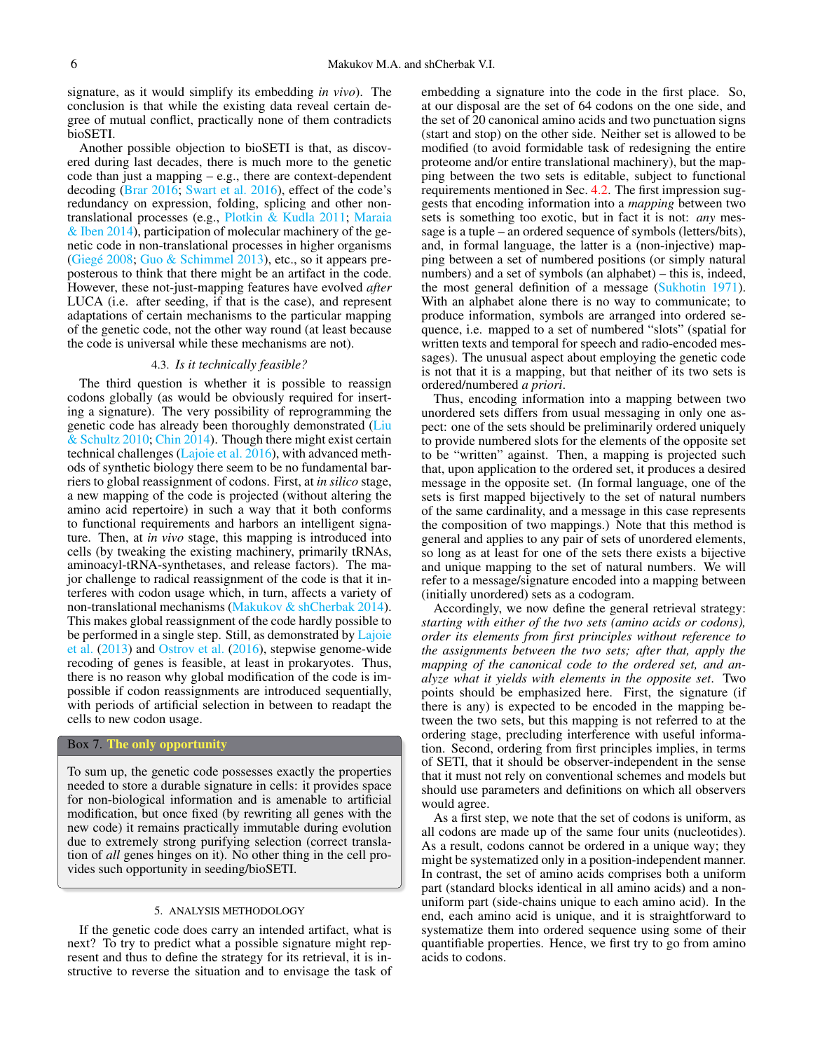signature, as it would simplify its embedding *in vivo*). The conclusion is that while the existing data reveal certain degree of mutual conflict, practically none of them contradicts bioSETI.

Another possible objection to bioSETI is that, as discovered during last decades, there is much more to the genetic code than just a mapping – e.g., there are context-dependent decoding [\(Brar](#page-16-33) [2016;](#page-16-33) [Swart et al.](#page-17-20) [2016\)](#page-17-20), effect of the code's redundancy on expression, folding, splicing and other nontranslational processes (e.g., [Plotkin & Kudla](#page-17-30) [2011;](#page-17-30) [Maraia](#page-17-31) [& Iben](#page-17-31) [2014\)](#page-17-31), participation of molecular machinery of the genetic code in non-translational processes in higher organisms [\(Giegé](#page-16-34) [2008;](#page-16-34) [Guo & Schimmel](#page-16-35) [2013\)](#page-16-35), etc., so it appears preposterous to think that there might be an artifact in the code. However, these not-just-mapping features have evolved *after* LUCA (i.e. after seeding, if that is the case), and represent adaptations of certain mechanisms to the particular mapping of the genetic code, not the other way round (at least because the code is universal while these mechanisms are not).

# 4.3. *Is it technically feasible?*

The third question is whether it is possible to reassign codons globally (as would be obviously required for inserting a signature). The very possibility of reprogramming the genetic code has already been thoroughly demonstrated [\(Liu](#page-16-36) [& Schultz](#page-16-36) [2010;](#page-16-36) [Chin](#page-16-37) [2014\)](#page-16-37). Though there might exist certain technical challenges [\(Lajoie et al.](#page-16-38) [2016\)](#page-16-38), with advanced methods of synthetic biology there seem to be no fundamental barriers to global reassignment of codons. First, at *in silico* stage, a new mapping of the code is projected (without altering the amino acid repertoire) in such a way that it both conforms to functional requirements and harbors an intelligent signature. Then, at *in vivo* stage, this mapping is introduced into cells (by tweaking the existing machinery, primarily tRNAs, aminoacyl-tRNA-synthetases, and release factors). The major challenge to radical reassignment of the code is that it interferes with codon usage which, in turn, affects a variety of non-translational mechanisms [\(Makukov & shCherbak](#page-17-32) [2014\)](#page-17-32). This makes global reassignment of the code hardly possible to be performed in a single step. Still, as demonstrated by [Lajoie](#page-16-39) [et al.](#page-16-39) [\(2013\)](#page-16-39) and [Ostrov et al.](#page-17-33) [\(2016\)](#page-17-33), stepwise genome-wide recoding of genes is feasible, at least in prokaryotes. Thus, there is no reason why global modification of the code is impossible if codon reassignments are introduced sequentially, with periods of artificial selection in between to readapt the cells to new codon usage.

# Box 7. The only opportunity

To sum up, the genetic code possesses exactly the properties needed to store a durable signature in cells: it provides space for non-biological information and is amenable to artificial modification, but once fixed (by rewriting all genes with the new code) it remains practically immutable during evolution due to extremely strong purifying selection (correct translation of *all* genes hinges on it). No other thing in the cell provides such opportunity in seeding/bioSETI.

#### 5. ANALYSIS METHODOLOGY

<span id="page-5-0"></span>If the genetic code does carry an intended artifact, what is next? To try to predict what a possible signature might represent and thus to define the strategy for its retrieval, it is instructive to reverse the situation and to envisage the task of embedding a signature into the code in the first place. So, at our disposal are the set of 64 codons on the one side, and the set of 20 canonical amino acids and two punctuation signs (start and stop) on the other side. Neither set is allowed to be modified (to avoid formidable task of redesigning the entire proteome and/or entire translational machinery), but the mapping between the two sets is editable, subject to functional requirements mentioned in Sec. [4.2.](#page-4-1) The first impression suggests that encoding information into a *mapping* between two sets is something too exotic, but in fact it is not: *any* message is a tuple – an ordered sequence of symbols (letters/bits), and, in formal language, the latter is a (non-injective) mapping between a set of numbered positions (or simply natural numbers) and a set of symbols (an alphabet) – this is, indeed, the most general definition of a message [\(Sukhotin](#page-17-34) [1971\)](#page-17-34). With an alphabet alone there is no way to communicate; to produce information, symbols are arranged into ordered sequence, i.e. mapped to a set of numbered "slots" (spatial for written texts and temporal for speech and radio-encoded messages). The unusual aspect about employing the genetic code is not that it is a mapping, but that neither of its two sets is ordered/numbered *a priori*.

Thus, encoding information into a mapping between two unordered sets differs from usual messaging in only one aspect: one of the sets should be preliminarily ordered uniquely to provide numbered slots for the elements of the opposite set to be "written" against. Then, a mapping is projected such that, upon application to the ordered set, it produces a desired message in the opposite set. (In formal language, one of the sets is first mapped bijectively to the set of natural numbers of the same cardinality, and a message in this case represents the composition of two mappings.) Note that this method is general and applies to any pair of sets of unordered elements, so long as at least for one of the sets there exists a bijective and unique mapping to the set of natural numbers. We will refer to a message/signature encoded into a mapping between (initially unordered) sets as a codogram.

Accordingly, we now define the general retrieval strategy: *starting with either of the two sets (amino acids or codons), order its elements from first principles without reference to the assignments between the two sets; after that, apply the mapping of the canonical code to the ordered set, and analyze what it yields with elements in the opposite set*. Two points should be emphasized here. First, the signature (if there is any) is expected to be encoded in the mapping between the two sets, but this mapping is not referred to at the ordering stage, precluding interference with useful information. Second, ordering from first principles implies, in terms of SETI, that it should be observer-independent in the sense that it must not rely on conventional schemes and models but should use parameters and definitions on which all observers would agree.

As a first step, we note that the set of codons is uniform, as all codons are made up of the same four units (nucleotides). As a result, codons cannot be ordered in a unique way; they might be systematized only in a position-independent manner. In contrast, the set of amino acids comprises both a uniform part (standard blocks identical in all amino acids) and a nonuniform part (side-chains unique to each amino acid). In the end, each amino acid is unique, and it is straightforward to systematize them into ordered sequence using some of their quantifiable properties. Hence, we first try to go from amino acids to codons.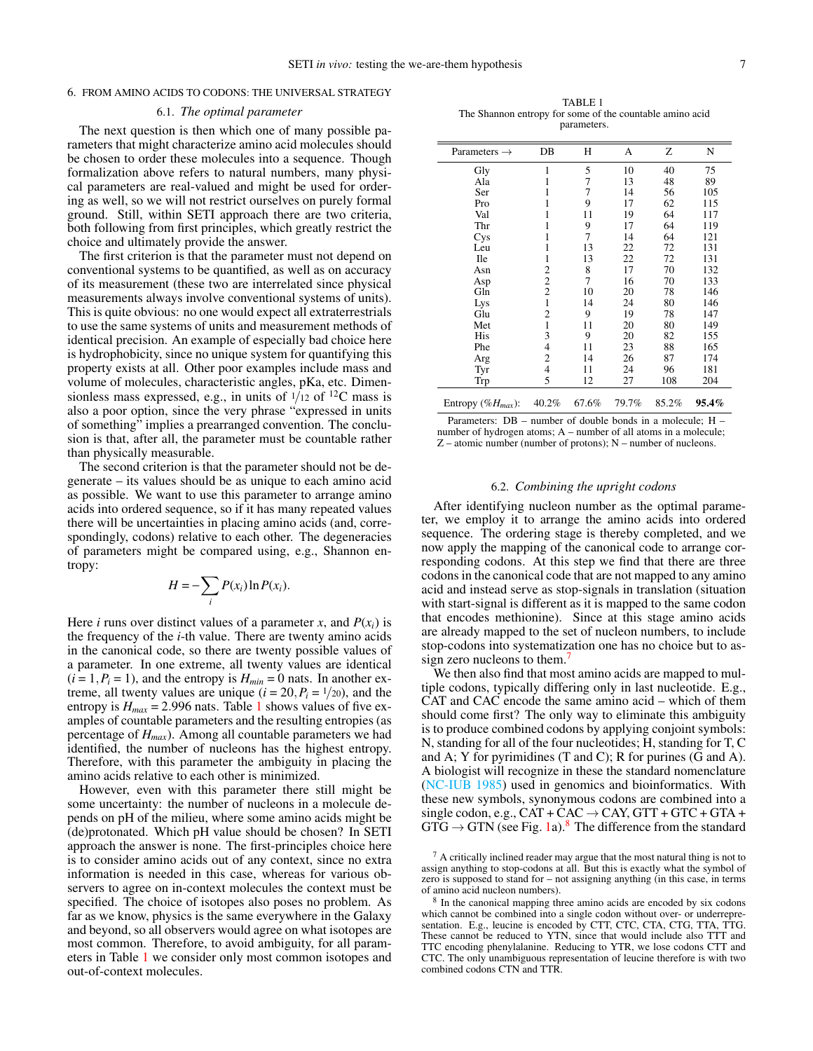## <span id="page-6-0"></span>6. FROM AMINO ACIDS TO CODONS: THE UNIVERSAL STRATEGY

## 6.1. *The optimal parameter*

The next question is then which one of many possible parameters that might characterize amino acid molecules should be chosen to order these molecules into a sequence. Though formalization above refers to natural numbers, many physical parameters are real-valued and might be used for ordering as well, so we will not restrict ourselves on purely formal ground. Still, within SETI approach there are two criteria, both following from first principles, which greatly restrict the choice and ultimately provide the answer.

The first criterion is that the parameter must not depend on conventional systems to be quantified, as well as on accuracy of its measurement (these two are interrelated since physical measurements always involve conventional systems of units). This is quite obvious: no one would expect all extraterrestrials to use the same systems of units and measurement methods of identical precision. An example of especially bad choice here is hydrophobicity, since no unique system for quantifying this property exists at all. Other poor examples include mass and volume of molecules, characteristic angles, pKa, etc. Dimensionless mass expressed, e.g., in units of  $\frac{1}{12}$  of  $\frac{12}{C}$  mass is also a poor option, since the very phrase "expressed in units of something" implies a prearranged convention. The conclusion is that, after all, the parameter must be countable rather than physically measurable.

The second criterion is that the parameter should not be degenerate – its values should be as unique to each amino acid as possible. We want to use this parameter to arrange amino acids into ordered sequence, so if it has many repeated values there will be uncertainties in placing amino acids (and, correspondingly, codons) relative to each other. The degeneracies of parameters might be compared using, e.g., Shannon entropy:

$$
H = -\sum_{i} P(x_i) \ln P(x_i).
$$

Here *i* runs over distinct values of a parameter *x*, and  $P(x_i)$  is the frequency of the *i*-th value. There are twenty amino acids in the canonical code, so there are twenty possible values of a parameter. In one extreme, all twenty values are identical  $(i = 1, P_i = 1)$ , and the entropy is  $H_{min} = 0$  nats. In another extreme, all twenty values are unique  $(i = 20, P_i = 1/20)$ , and the entropy is  $H_{max}$  = 2.996 nats. Table [1](#page-6-1) shows values of five examples of countable parameters and the resulting entropies (as percentage of *Hmax*). Among all countable parameters we had identified, the number of nucleons has the highest entropy. Therefore, with this parameter the ambiguity in placing the amino acids relative to each other is minimized.

However, even with this parameter there still might be some uncertainty: the number of nucleons in a molecule depends on pH of the milieu, where some amino acids might be (de)protonated. Which pH value should be chosen? In SETI approach the answer is none. The first-principles choice here is to consider amino acids out of any context, since no extra information is needed in this case, whereas for various observers to agree on in-context molecules the context must be specified. The choice of isotopes also poses no problem. As far as we know, physics is the same everywhere in the Galaxy and beyond, so all observers would agree on what isotopes are most common. Therefore, to avoid ambiguity, for all parameters in Table [1](#page-6-1) we consider only most common isotopes and out-of-context molecules.

<span id="page-6-1"></span>TABLE 1 The Shannon entropy for some of the countable amino acid parameters.

| Parameters $\rightarrow$ | DB             | Н     | А     | Ζ     | N     |
|--------------------------|----------------|-------|-------|-------|-------|
| Gly                      | 1              | 5     | 10    | 40    | 75    |
| Ala                      | 1              | 7     | 13    | 48    | 89    |
| Ser                      | 1              | 7     | 14    | 56    | 105   |
| Pro                      | 1              | 9     | 17    | 62    | 115   |
| Val                      | 1              | 11    | 19    | 64    | 117   |
| Thr                      | 1              | 9     | 17    | 64    | 119   |
| Cys                      | 1              | 7     | 14    | 64    | 121   |
| Leu                      | 1              | 13    | 22    | 72    | 131   |
| <b>Ile</b>               | 1              | 13    | 22    | 72    | 131   |
| Asn                      | 2              | 8     | 17    | 70    | 132   |
| Asp                      | $\overline{c}$ | 7     | 16    | 70    | 133   |
| Gln                      | $\overline{c}$ | 10    | 20    | 78    | 146   |
| Lys                      | $\mathbf{1}$   | 14    | 24    | 80    | 146   |
| Glu                      | $\overline{c}$ | 9     | 19    | 78    | 147   |
| Met                      | $\mathbf{1}$   | 11    | 20    | 80    | 149   |
| His                      | 3              | 9     | 20    | 82    | 155   |
| Phe                      | 4              | 11    | 23    | 88    | 165   |
| Arg                      | $\overline{c}$ | 14    | 26    | 87    | 174   |
| Tyr                      | 4              | 11    | 24    | 96    | 181   |
| Trp                      | 5              | 12    | 27    | 108   | 204   |
| Entropy $(\%H_{max})$ :  | 40.2%          | 67.6% | 79.7% | 85.2% | 95.4% |

Parameters: DB – number of double bonds in a molecule; H – number of hydrogen atoms; A – number of all atoms in a molecule; Z – atomic number (number of protons); N – number of nucleons.

#### 6.2. *Combining the upright codons*

After identifying nucleon number as the optimal parameter, we employ it to arrange the amino acids into ordered sequence. The ordering stage is thereby completed, and we now apply the mapping of the canonical code to arrange corresponding codons. At this step we find that there are three codons in the canonical code that are not mapped to any amino acid and instead serve as stop-signals in translation (situation with start-signal is different as it is mapped to the same codon that encodes methionine). Since at this stage amino acids are already mapped to the set of nucleon numbers, to include stop-codons into systematization one has no choice but to as-sign zero nucleons to them.<sup>[7](#page-6-2)</sup>

We then also find that most amino acids are mapped to multiple codons, typically differing only in last nucleotide. E.g., CAT and CAC encode the same amino acid – which of them should come first? The only way to eliminate this ambiguity is to produce combined codons by applying conjoint symbols: N, standing for all of the four nucleotides; H, standing for T, C and A; Y for pyrimidines (T and C); R for purines (G and A). A biologist will recognize in these the standard nomenclature [\(NC-IUB](#page-17-35) [1985\)](#page-17-35) used in genomics and bioinformatics. With these new symbols, synonymous codons are combined into a single codon, e.g.,  $CAT + CAC \rightarrow CAY$ ,  $GTT + GTC + GTA +$  $GTG \rightarrow GTN$  (see Fig. [1a](#page-7-1)).<sup>[8](#page-6-3)</sup> The difference from the standard

<span id="page-6-2"></span> $7$  A critically inclined reader may argue that the most natural thing is not to assign anything to stop-codons at all. But this is exactly what the symbol of zero is supposed to stand for – not assigning anything (in this case, in terms of amino acid nucleon numbers).

<span id="page-6-3"></span><sup>8</sup> In the canonical mapping three amino acids are encoded by six codons which cannot be combined into a single codon without over- or underrepresentation. E.g., leucine is encoded by CTT, CTC, CTA, CTG, TTA, TTG. These cannot be reduced to YTN, since that would include also TTT and TTC encoding phenylalanine. Reducing to YTR, we lose codons CTT and CTC. The only unambiguous representation of leucine therefore is with two combined codons CTN and TTR.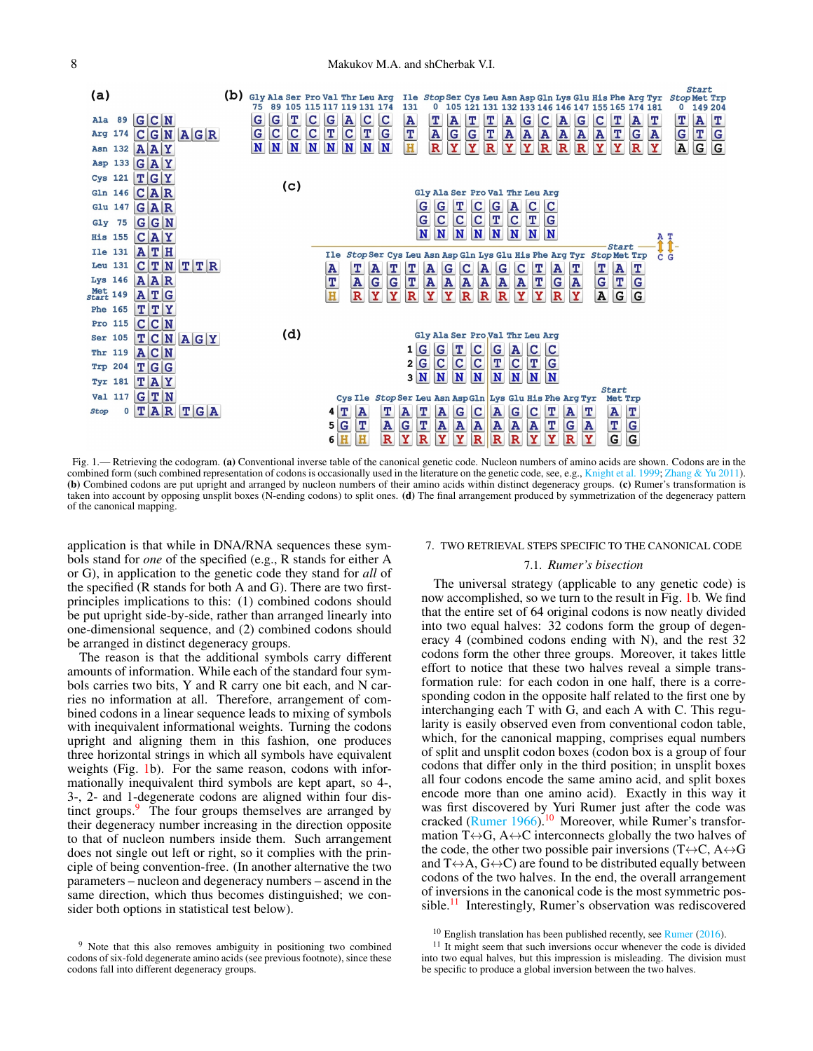

<span id="page-7-1"></span>Fig. 1.— Retrieving the codogram. (a) Conventional inverse table of the canonical genetic code. Nucleon numbers of amino acids are shown. Codons are in the combined form (such combined representation of codons is occasionally used in the literature on the genetic code, see, e.g., [Knight et al.](#page-16-26) [1999;](#page-16-26) [Zhang & Yu](#page-17-36) [2011\)](#page-17-36). (b) Combined codons are put upright and arranged by nucleon numbers of their amino acids within distinct degeneracy groups. (c) Rumer's transformation is taken into account by opposing unsplit boxes (N-ending codons) to split ones. (d) The final arrangement produced by symmetrization of the degeneracy pattern of the canonical mapping.

application is that while in DNA/RNA sequences these symbols stand for *one* of the specified (e.g., R stands for either A or G), in application to the genetic code they stand for *all* of the specified (R stands for both A and G). There are two firstprinciples implications to this: (1) combined codons should be put upright side-by-side, rather than arranged linearly into one-dimensional sequence, and (2) combined codons should be arranged in distinct degeneracy groups.

The reason is that the additional symbols carry different amounts of information. While each of the standard four symbols carries two bits, Y and R carry one bit each, and N carries no information at all. Therefore, arrangement of combined codons in a linear sequence leads to mixing of symbols with inequivalent informational weights. Turning the codons upright and aligning them in this fashion, one produces three horizontal strings in which all symbols have equivalent weights (Fig. [1b](#page-7-1)). For the same reason, codons with informationally inequivalent third symbols are kept apart, so 4-, 3-, 2- and 1-degenerate codons are aligned within four dis-tinct groups.<sup>[9](#page-7-2)</sup> The four groups themselves are arranged by their degeneracy number increasing in the direction opposite to that of nucleon numbers inside them. Such arrangement does not single out left or right, so it complies with the principle of being convention-free. (In another alternative the two parameters – nucleon and degeneracy numbers – ascend in the same direction, which thus becomes distinguished; we consider both options in statistical test below).

# <span id="page-7-0"></span>7. TWO RETRIEVAL STEPS SPECIFIC TO THE CANONICAL CODE

### 7.1. *Rumer's bisection*

The universal strategy (applicable to any genetic code) is now accomplished, so we turn to the result in Fig. [1b](#page-7-1). We find that the entire set of 64 original codons is now neatly divided into two equal halves: 32 codons form the group of degeneracy 4 (combined codons ending with N), and the rest 32 codons form the other three groups. Moreover, it takes little effort to notice that these two halves reveal a simple transformation rule: for each codon in one half, there is a corresponding codon in the opposite half related to the first one by interchanging each T with G, and each A with C. This regularity is easily observed even from conventional codon table, which, for the canonical mapping, comprises equal numbers of split and unsplit codon boxes (codon box is a group of four codons that differ only in the third position; in unsplit boxes all four codons encode the same amino acid, and split boxes encode more than one amino acid). Exactly in this way it was first discovered by Yuri Rumer just after the code was cracked [\(Rumer](#page-17-37) [1966\)](#page-17-37).<sup>[10](#page-7-3)</sup> Moreover, while Rumer's transformation T $\leftrightarrow$ G, A $\leftrightarrow$ C interconnects globally the two halves of the code, the other two possible pair inversions (T $\leftrightarrow$ C, A $\leftrightarrow$ G and  $T \leftrightarrow A$ ,  $G \leftrightarrow C$ ) are found to be distributed equally between codons of the two halves. In the end, the overall arrangement of inversions in the canonical code is the most symmetric pos-sible.<sup>[11](#page-7-4)</sup> Interestingly, Rumer's observation was rediscovered

<span id="page-7-2"></span><sup>&</sup>lt;sup>9</sup> Note that this also removes ambiguity in positioning two combined codons of six-fold degenerate amino acids (see previous footnote), since these codons fall into different degeneracy groups.

<span id="page-7-4"></span><span id="page-7-3"></span><sup>&</sup>lt;sup>10</sup> English translation has been published recently, see [Rumer](#page-17-38) [\(2016\)](#page-17-38).

<sup>&</sup>lt;sup>11</sup> It might seem that such inversions occur whenever the code is divided into two equal halves, but this impression is misleading. The division must be specific to produce a global inversion between the two halves.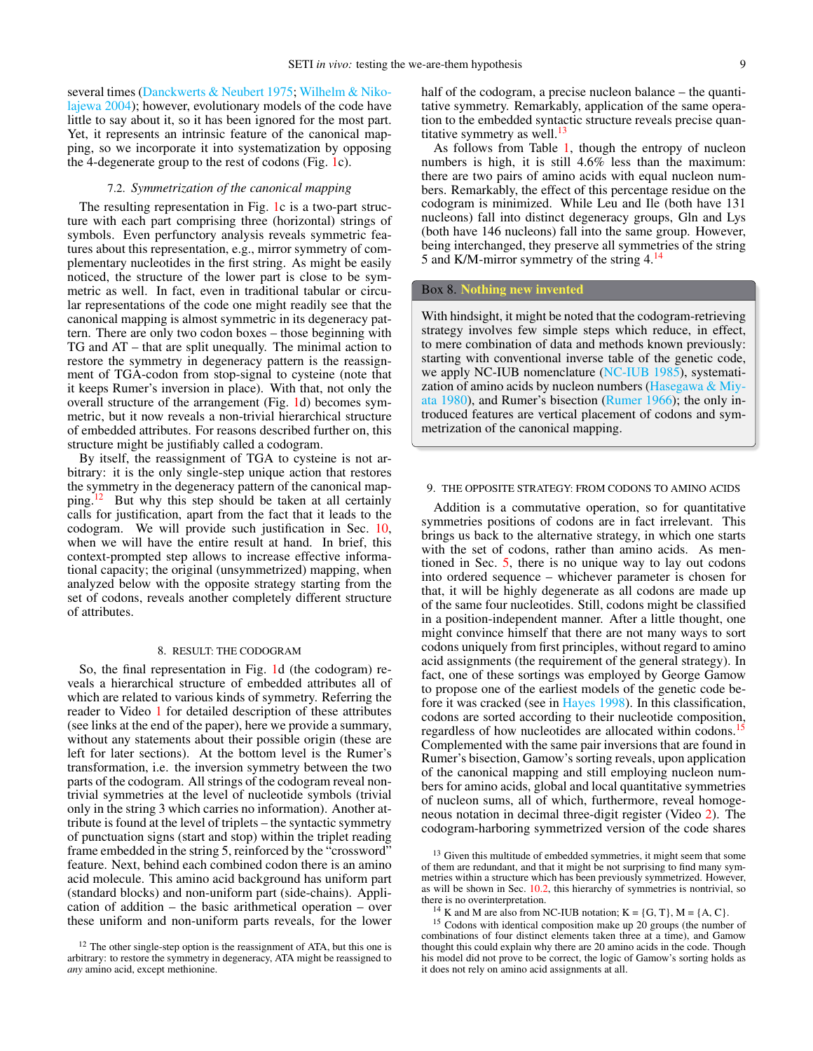several times [\(Danckwerts & Neubert](#page-16-40) [1975;](#page-16-40) [Wilhelm & Niko](#page-17-39)[lajewa](#page-17-39) [2004\)](#page-17-39); however, evolutionary models of the code have little to say about it, so it has been ignored for the most part. Yet, it represents an intrinsic feature of the canonical mapping, so we incorporate it into systematization by opposing the 4-degenerate group to the rest of codons (Fig. [1c](#page-7-1)).

#### 7.2. *Symmetrization of the canonical mapping*

<span id="page-8-4"></span>The resulting representation in Fig. [1c](#page-7-1) is a two-part structure with each part comprising three (horizontal) strings of symbols. Even perfunctory analysis reveals symmetric features about this representation, e.g., mirror symmetry of complementary nucleotides in the first string. As might be easily noticed, the structure of the lower part is close to be symmetric as well. In fact, even in traditional tabular or circular representations of the code one might readily see that the canonical mapping is almost symmetric in its degeneracy pattern. There are only two codon boxes – those beginning with TG and AT – that are split unequally. The minimal action to restore the symmetry in degeneracy pattern is the reassignment of TGA-codon from stop-signal to cysteine (note that it keeps Rumer's inversion in place). With that, not only the overall structure of the arrangement (Fig. [1d](#page-7-1)) becomes symmetric, but it now reveals a non-trivial hierarchical structure of embedded attributes. For reasons described further on, this structure might be justifiably called a codogram.

By itself, the reassignment of TGA to cysteine is not arbitrary: it is the only single-step unique action that restores the symmetry in the degeneracy pattern of the canonical map-ping.<sup>[12](#page-8-0)</sup> But why this step should be taken at all certainly calls for justification, apart from the fact that it leads to the codogram. We will provide such justification in Sec. [10,](#page-9-0) when we will have the entire result at hand. In brief, this context-prompted step allows to increase effective informational capacity; the original (unsymmetrized) mapping, when analyzed below with the opposite strategy starting from the set of codons, reveals another completely different structure of attributes.

### 8. RESULT: THE CODOGRAM

So, the final representation in Fig. [1d](#page-7-1) (the codogram) reveals a hierarchical structure of embedded attributes all of which are related to various kinds of symmetry. Referring the reader to Video [1](#page-15-0) for detailed description of these attributes (see links at the end of the paper), here we provide a summary, without any statements about their possible origin (these are left for later sections). At the bottom level is the Rumer's transformation, i.e. the inversion symmetry between the two parts of the codogram. All strings of the codogram reveal nontrivial symmetries at the level of nucleotide symbols (trivial only in the string 3 which carries no information). Another attribute is found at the level of triplets – the syntactic symmetry of punctuation signs (start and stop) within the triplet reading frame embedded in the string 5, reinforced by the "crossword" feature. Next, behind each combined codon there is an amino acid molecule. This amino acid background has uniform part (standard blocks) and non-uniform part (side-chains). Application of addition – the basic arithmetical operation – over these uniform and non-uniform parts reveals, for the lower half of the codogram, a precise nucleon balance – the quantitative symmetry. Remarkably, application of the same operation to the embedded syntactic structure reveals precise quantitative symmetry as well. $<sup>13</sup>$  $<sup>13</sup>$  $<sup>13</sup>$ </sup>

As follows from Table [1,](#page-6-1) though the entropy of nucleon numbers is high, it is still 4.6% less than the maximum: there are two pairs of amino acids with equal nucleon numbers. Remarkably, the effect of this percentage residue on the codogram is minimized. While Leu and Ile (both have 131 nucleons) fall into distinct degeneracy groups, Gln and Lys (both have 146 nucleons) fall into the same group. However, being interchanged, they preserve all symmetries of the string 5 and K/M-mirror symmetry of the string 4.<sup>[14](#page-8-2)</sup>

#### Box 8. Nothing new invented

With hindsight, it might be noted that the codogram-retrieving strategy involves few simple steps which reduce, in effect, to mere combination of data and methods known previously: starting with conventional inverse table of the genetic code, we apply NC-IUB nomenclature [\(NC-IUB](#page-17-35) [1985\)](#page-17-35), systematization of amino acids by nucleon numbers [\(Hasegawa & Miy](#page-16-41)[ata](#page-16-41) [1980\)](#page-16-41), and Rumer's bisection [\(Rumer](#page-17-37) [1966\)](#page-17-37); the only introduced features are vertical placement of codons and symmetrization of the canonical mapping.

#### 9. THE OPPOSITE STRATEGY: FROM CODONS TO AMINO ACIDS

Addition is a commutative operation, so for quantitative symmetries positions of codons are in fact irrelevant. This brings us back to the alternative strategy, in which one starts with the set of codons, rather than amino acids. As mentioned in Sec. [5,](#page-5-0) there is no unique way to lay out codons into ordered sequence – whichever parameter is chosen for that, it will be highly degenerate as all codons are made up of the same four nucleotides. Still, codons might be classified in a position-independent manner. After a little thought, one might convince himself that there are not many ways to sort codons uniquely from first principles, without regard to amino acid assignments (the requirement of the general strategy). In fact, one of these sortings was employed by George Gamow to propose one of the earliest models of the genetic code before it was cracked (see in [Hayes](#page-16-42) [1998\)](#page-16-42). In this classification, codons are sorted according to their nucleotide composition, regardless of how nucleotides are allocated within codons.<sup>[15](#page-8-3)</sup> Complemented with the same pair inversions that are found in Rumer's bisection, Gamow's sorting reveals, upon application of the canonical mapping and still employing nucleon numbers for amino acids, global and local quantitative symmetries of nucleon sums, all of which, furthermore, reveal homogeneous notation in decimal three-digit register (Video [2\)](#page-15-0). The codogram-harboring symmetrized version of the code shares

<span id="page-8-0"></span><sup>&</sup>lt;sup>12</sup> The other single-step option is the reassignment of ATA, but this one is arbitrary: to restore the symmetry in degeneracy, ATA might be reassigned to *any* amino acid, except methionine.

<span id="page-8-1"></span><sup>&</sup>lt;sup>13</sup> Given this multitude of embedded symmetries, it might seem that some of them are redundant, and that it might be not surprising to find many symmetries within a structure which has been previously symmetrized. However, as will be shown in Sec. [10.2,](#page-10-0) this hierarchy of symmetries is nontrivial, so there is no overinterpretation.

<span id="page-8-3"></span><span id="page-8-2"></span><sup>&</sup>lt;sup>14</sup> K and M are also from NC-IUB notation; K = {G, T}, M = {A, C}.

<sup>&</sup>lt;sup>15</sup> Codons with identical composition make up 20 groups (the number of combinations of four distinct elements taken three at a time), and Gamow thought this could explain why there are 20 amino acids in the code. Though his model did not prove to be correct, the logic of Gamow's sorting holds as it does not rely on amino acid assignments at all.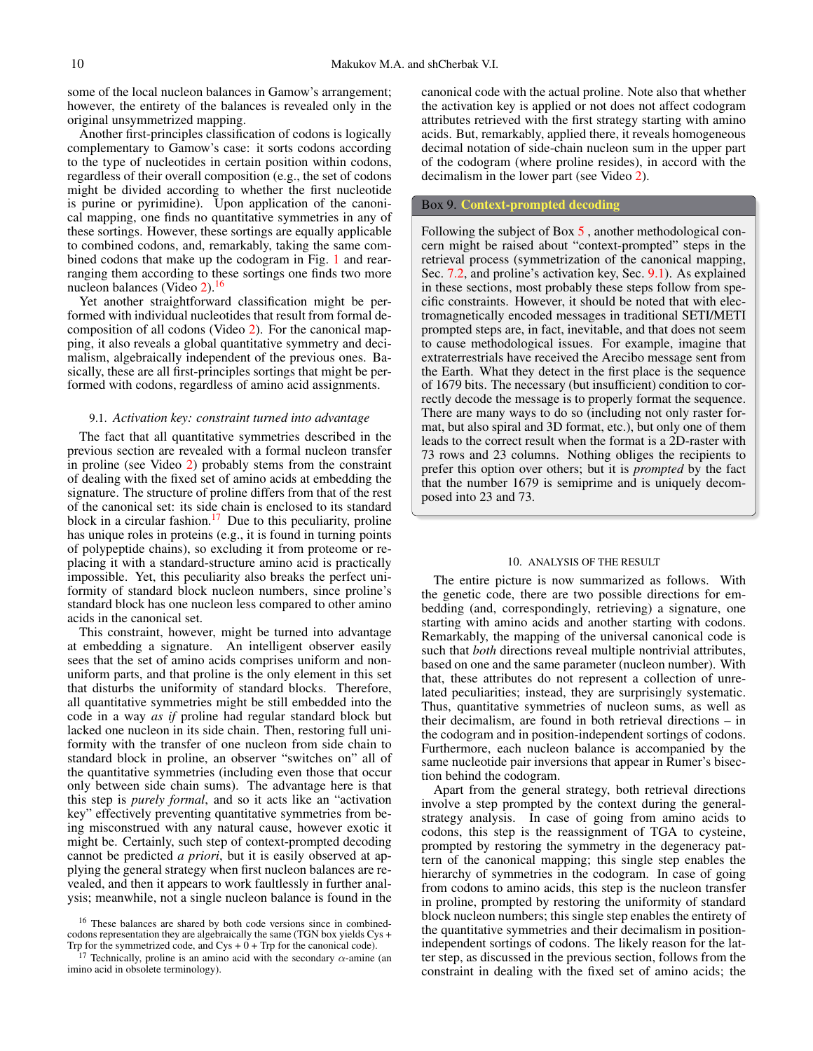some of the local nucleon balances in Gamow's arrangement; however, the entirety of the balances is revealed only in the original unsymmetrized mapping.

Another first-principles classification of codons is logically complementary to Gamow's case: it sorts codons according to the type of nucleotides in certain position within codons, regardless of their overall composition (e.g., the set of codons might be divided according to whether the first nucleotide is purine or pyrimidine). Upon application of the canonical mapping, one finds no quantitative symmetries in any of these sortings. However, these sortings are equally applicable to combined codons, and, remarkably, taking the same com-bined codons that make up the codogram in Fig. [1](#page-7-1) and rearranging them according to these sortings one finds two more nucleon balances (Video [2\)](#page-15-0).[16](#page-9-1)

Yet another straightforward classification might be performed with individual nucleotides that result from formal decomposition of all codons (Video [2\)](#page-15-0). For the canonical mapping, it also reveals a global quantitative symmetry and decimalism, algebraically independent of the previous ones. Basically, these are all first-principles sortings that might be performed with codons, regardless of amino acid assignments.

### <span id="page-9-3"></span>9.1. *Activation key: constraint turned into advantage*

The fact that all quantitative symmetries described in the previous section are revealed with a formal nucleon transfer in proline (see Video [2\)](#page-15-0) probably stems from the constraint of dealing with the fixed set of amino acids at embedding the signature. The structure of proline differs from that of the rest of the canonical set: its side chain is enclosed to its standard block in a circular fashion.<sup>[17](#page-9-2)</sup> Due to this peculiarity, proline has unique roles in proteins (e.g., it is found in turning points of polypeptide chains), so excluding it from proteome or replacing it with a standard-structure amino acid is practically impossible. Yet, this peculiarity also breaks the perfect uniformity of standard block nucleon numbers, since proline's standard block has one nucleon less compared to other amino acids in the canonical set.

This constraint, however, might be turned into advantage at embedding a signature. An intelligent observer easily sees that the set of amino acids comprises uniform and nonuniform parts, and that proline is the only element in this set that disturbs the uniformity of standard blocks. Therefore, all quantitative symmetries might be still embedded into the code in a way *as if* proline had regular standard block but lacked one nucleon in its side chain. Then, restoring full uniformity with the transfer of one nucleon from side chain to standard block in proline, an observer "switches on" all of the quantitative symmetries (including even those that occur only between side chain sums). The advantage here is that this step is *purely formal*, and so it acts like an "activation key" effectively preventing quantitative symmetries from being misconstrued with any natural cause, however exotic it might be. Certainly, such step of context-prompted decoding cannot be predicted *a priori*, but it is easily observed at applying the general strategy when first nucleon balances are revealed, and then it appears to work faultlessly in further analysis; meanwhile, not a single nucleon balance is found in the canonical code with the actual proline. Note also that whether the activation key is applied or not does not affect codogram attributes retrieved with the first strategy starting with amino acids. But, remarkably, applied there, it reveals homogeneous decimal notation of side-chain nucleon sum in the upper part of the codogram (where proline resides), in accord with the decimalism in the lower part (see Video [2\)](#page-15-0).

# Box 9. Context-prompted decoding

Following the subject of Box [5](#page-3-3) , another methodological concern might be raised about "context-prompted" steps in the retrieval process (symmetrization of the canonical mapping, Sec. [7.2,](#page-8-4) and proline's activation key, Sec. [9.1\)](#page-9-3). As explained in these sections, most probably these steps follow from specific constraints. However, it should be noted that with electromagnetically encoded messages in traditional SETI/METI prompted steps are, in fact, inevitable, and that does not seem to cause methodological issues. For example, imagine that extraterrestrials have received the Arecibo message sent from the Earth. What they detect in the first place is the sequence of 1679 bits. The necessary (but insufficient) condition to correctly decode the message is to properly format the sequence. There are many ways to do so (including not only raster format, but also spiral and 3D format, etc.), but only one of them leads to the correct result when the format is a 2D-raster with 73 rows and 23 columns. Nothing obliges the recipients to prefer this option over others; but it is *prompted* by the fact that the number 1679 is semiprime and is uniquely decomposed into 23 and 73.

#### 10. ANALYSIS OF THE RESULT

<span id="page-9-0"></span>The entire picture is now summarized as follows. With the genetic code, there are two possible directions for embedding (and, correspondingly, retrieving) a signature, one starting with amino acids and another starting with codons. Remarkably, the mapping of the universal canonical code is such that *both* directions reveal multiple nontrivial attributes, based on one and the same parameter (nucleon number). With that, these attributes do not represent a collection of unrelated peculiarities; instead, they are surprisingly systematic. Thus, quantitative symmetries of nucleon sums, as well as their decimalism, are found in both retrieval directions – in the codogram and in position-independent sortings of codons. Furthermore, each nucleon balance is accompanied by the same nucleotide pair inversions that appear in Rumer's bisection behind the codogram.

Apart from the general strategy, both retrieval directions involve a step prompted by the context during the generalstrategy analysis. In case of going from amino acids to codons, this step is the reassignment of TGA to cysteine, prompted by restoring the symmetry in the degeneracy pattern of the canonical mapping; this single step enables the hierarchy of symmetries in the codogram. In case of going from codons to amino acids, this step is the nucleon transfer in proline, prompted by restoring the uniformity of standard block nucleon numbers; this single step enables the entirety of the quantitative symmetries and their decimalism in positionindependent sortings of codons. The likely reason for the latter step, as discussed in the previous section, follows from the constraint in dealing with the fixed set of amino acids; the

<span id="page-9-1"></span><sup>&</sup>lt;sup>16</sup> These balances are shared by both code versions since in combinedcodons representation they are algebraically the same (TGN box yields Cys + Trp for the symmetrized code, and Cys + 0 + Trp for the canonical code).

<span id="page-9-2"></span><sup>&</sup>lt;sup>17</sup> Technically, proline is an amino acid with the secondary  $\alpha$ -amine (an imino acid in obsolete terminology).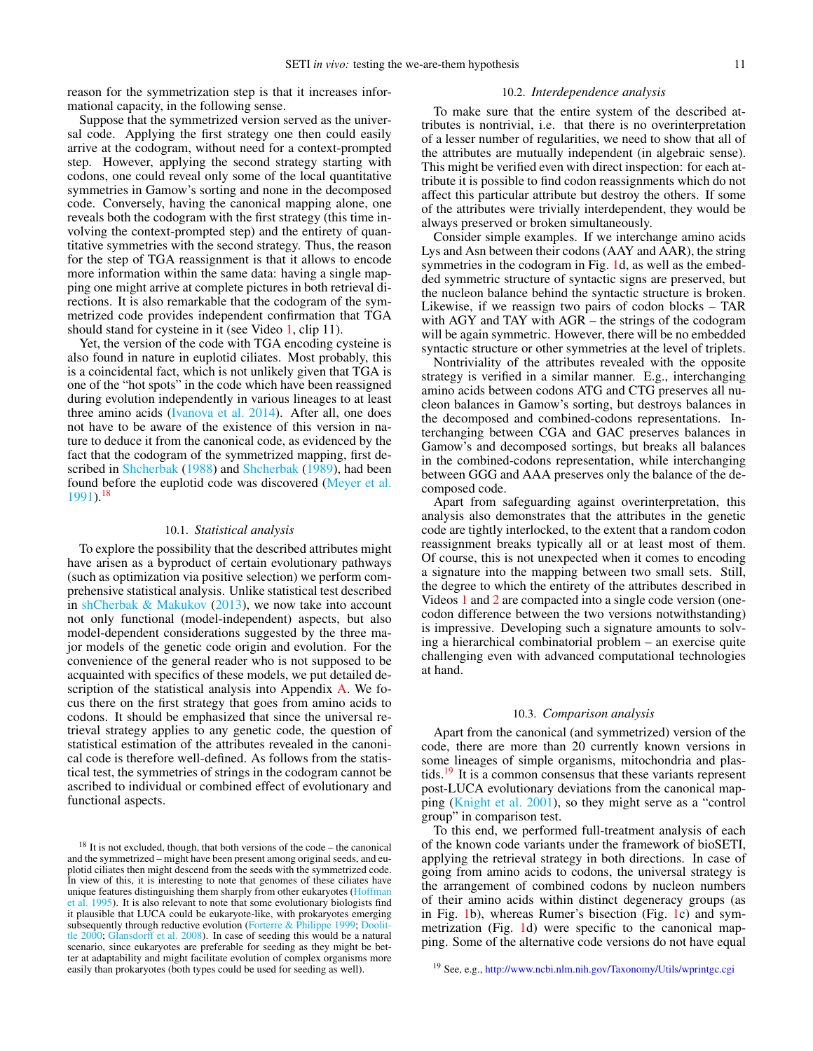reason for the symmetrization step is that it increases informational capacity, in the following sense.

### 10.2. *Interdependence analysis*

Suppose that the symmetrized version served as the universal code. Applying the first strategy one then could easily arrive at the codogram, without need for a context-prompted step. However, applying the second strategy starting with codons, one could reveal only some of the local quantitative symmetries in Gamow's sorting and none in the decomposed code. Conversely, having the canonical mapping alone, one reveals both the codogram with the first strategy (this time involving the context-prompted step) and the entirety of quantitative symmetries with the second strategy. Thus, the reason for the step of TGA reassignment is that it allows to encode more information within the same data: having a single mapping one might arrive at complete pictures in both retrieval directions. It is also remarkable that the codogram of the symmetrized code provides independent confirmation that TGA should stand for cysteine in it (see Video [1,](#page-15-0) clip 11).

Yet, the version of the code with TGA encoding cysteine is also found in nature in euplotid ciliates. Most probably, this is a coincidental fact, which is not unlikely given that TGA is one of the "hot spots" in the code which have been reassigned during evolution independently in various lineages to at least three amino acids [\(Ivanova et al.](#page-16-43) [2014\)](#page-16-43). After all, one does not have to be aware of the existence of this version in nature to deduce it from the canonical code, as evidenced by the fact that the codogram of the symmetrized mapping, first described in [Shcherbak](#page-17-40) [\(1988\)](#page-17-40) and [Shcherbak](#page-17-41) [\(1989\)](#page-17-41), had been found before the euplotid code was discovered [\(Meyer et al.](#page-17-42) [1991\)](#page-17-42).[18](#page-10-1)

#### 10.1. *Statistical analysis*

To explore the possibility that the described attributes might have arisen as a byproduct of certain evolutionary pathways (such as optimization via positive selection) we perform comprehensive statistical analysis. Unlike statistical test described in [shCherbak & Makukov](#page-17-22) [\(2013\)](#page-17-22), we now take into account not only functional (model-independent) aspects, but also model-dependent considerations suggested by the three major models of the genetic code origin and evolution. For the convenience of the general reader who is not supposed to be acquainted with specifics of these models, we put detailed description of the statistical analysis into Appendix  $\bf{A}$ . We focus there on the first strategy that goes from amino acids to codons. It should be emphasized that since the universal retrieval strategy applies to any genetic code, the question of statistical estimation of the attributes revealed in the canonical code is therefore well-defined. As follows from the statistical test, the symmetries of strings in the codogram cannot be ascribed to individual or combined effect of evolutionary and functional aspects.

<span id="page-10-0"></span>To make sure that the entire system of the described attributes is nontrivial, i.e. that there is no overinterpretation of a lesser number of regularities, we need to show that all of the attributes are mutually independent (in algebraic sense). This might be verified even with direct inspection: for each attribute it is possible to find codon reassignments which do not affect this particular attribute but destroy the others. If some of the attributes were trivially interdependent, they would be always preserved or broken simultaneously.

Consider simple examples. If we interchange amino acids Lys and Asn between their codons (AAY and AAR), the string symmetries in the codogram in Fig. [1d](#page-7-1), as well as the embedded symmetric structure of syntactic signs are preserved, but the nucleon balance behind the syntactic structure is broken. Likewise, if we reassign two pairs of codon blocks – TAR with AGY and TAY with AGR – the strings of the codogram will be again symmetric. However, there will be no embedded syntactic structure or other symmetries at the level of triplets.

Nontriviality of the attributes revealed with the opposite strategy is verified in a similar manner. E.g., interchanging amino acids between codons ATG and CTG preserves all nucleon balances in Gamow's sorting, but destroys balances in the decomposed and combined-codons representations. Interchanging between CGA and GAC preserves balances in Gamow's and decomposed sortings, but breaks all balances in the combined-codons representation, while interchanging between GGG and AAA preserves only the balance of the decomposed code.

Apart from safeguarding against overinterpretation, this analysis also demonstrates that the attributes in the genetic code are tightly interlocked, to the extent that a random codon reassignment breaks typically all or at least most of them. Of course, this is not unexpected when it comes to encoding a signature into the mapping between two small sets. Still, the degree to which the entirety of the attributes described in Videos [1](#page-15-0) and [2](#page-15-0) are compacted into a single code version (onecodon difference between the two versions notwithstanding) is impressive. Developing such a signature amounts to solving a hierarchical combinatorial problem – an exercise quite challenging even with advanced computational technologies at hand.

#### 10.3. *Comparison analysis*

Apart from the canonical (and symmetrized) version of the code, there are more than 20 currently known versions in some lineages of simple organisms, mitochondria and plas-tids.<sup>[19](#page-10-2)</sup> It is a common consensus that these variants represent post-LUCA evolutionary deviations from the canonical mapping [\(Knight et al.](#page-16-22) [2001\)](#page-16-22), so they might serve as a "control group" in comparison test.

To this end, we performed full-treatment analysis of each of the known code variants under the framework of bioSETI, applying the retrieval strategy in both directions. In case of going from amino acids to codons, the universal strategy is the arrangement of combined codons by nucleon numbers of their amino acids within distinct degeneracy groups (as in Fig. [1b](#page-7-1)), whereas Rumer's bisection (Fig. [1c](#page-7-1)) and symmetrization (Fig. [1d](#page-7-1)) were specific to the canonical mapping. Some of the alternative code versions do not have equal

<span id="page-10-1"></span><sup>18</sup> It is not excluded, though, that both versions of the code – the canonical and the symmetrized – might have been present among original seeds, and euplotid ciliates then might descend from the seeds with the symmetrized code. In view of this, it is interesting to note that genomes of these ciliates have unique features distinguishing them sharply from other eukaryotes [\(Hoffman](#page-16-44) [et al.](#page-16-44) [1995\)](#page-16-44). It is also relevant to note that some evolutionary biologists find it plausible that LUCA could be eukaryote-like, with prokaryotes emerging subsequently through reductive evolution [\(Forterre & Philippe](#page-16-45) [1999;](#page-16-45) Door [tle](#page-16-10) [2000;](#page-16-10) [Glansdorff et al.](#page-16-46) [2008\)](#page-16-46). In case of seeding this would be a natural scenario, since eukaryotes are preferable for seeding as they might be better at adaptability and might facilitate evolution of complex organisms more easily than prokaryotes (both types could be used for seeding as well).

<span id="page-10-2"></span><sup>19</sup> See, e.g., <http://www.ncbi.nlm.nih.gov/Taxonomy/Utils/wprintgc.cgi>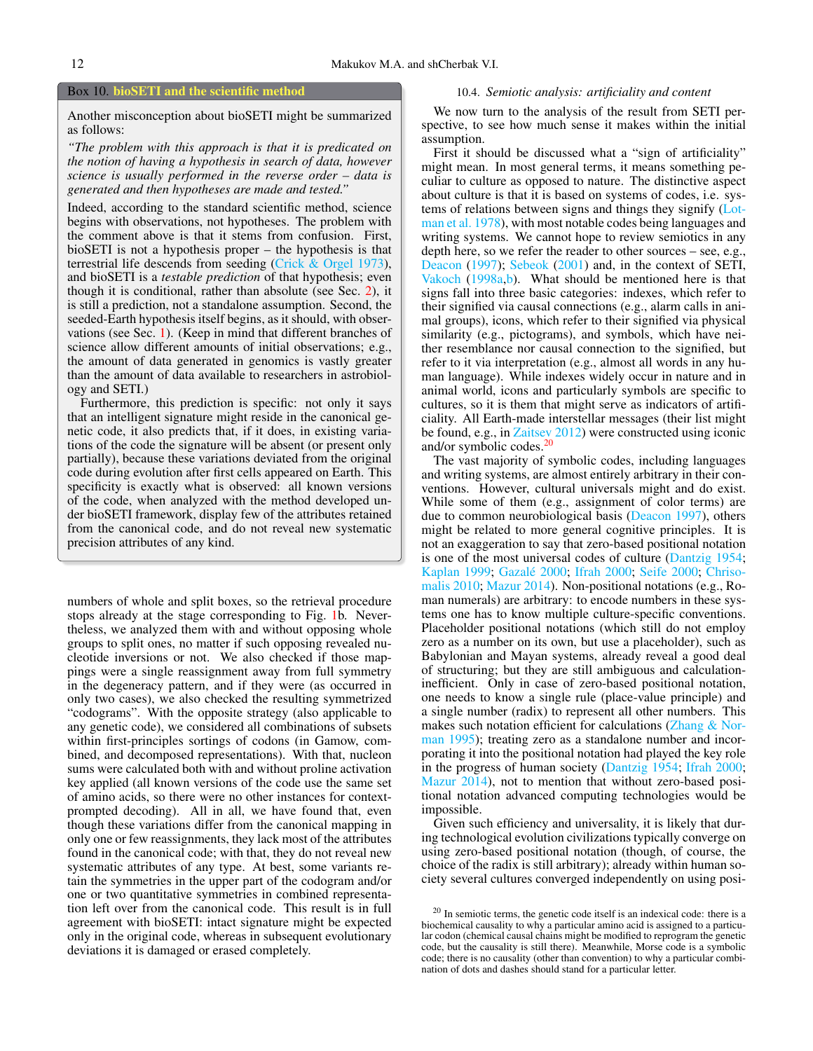# Box 10. bioSETI and the scientific method

Another misconception about bioSETI might be summarized as follows:

*"The problem with this approach is that it is predicated on the notion of having a hypothesis in search of data, however science is usually performed in the reverse order – data is generated and then hypotheses are made and tested."*

Indeed, according to the standard scientific method, science begins with observations, not hypotheses. The problem with the comment above is that it stems from confusion. First, bioSETI is not a hypothesis proper – the hypothesis is that terrestrial life descends from seeding [\(Crick & Orgel](#page-16-5) [1973\)](#page-16-5), and bioSETI is a *testable prediction* of that hypothesis; even though it is conditional, rather than absolute (see Sec. [2\)](#page-1-1), it is still a prediction, not a standalone assumption. Second, the seeded-Earth hypothesis itself begins, as it should, with observations (see Sec. [1\)](#page-0-0). (Keep in mind that different branches of science allow different amounts of initial observations; e.g., the amount of data generated in genomics is vastly greater than the amount of data available to researchers in astrobiology and SETI.)

Furthermore, this prediction is specific: not only it says that an intelligent signature might reside in the canonical genetic code, it also predicts that, if it does, in existing variations of the code the signature will be absent (or present only partially), because these variations deviated from the original code during evolution after first cells appeared on Earth. This specificity is exactly what is observed: all known versions of the code, when analyzed with the method developed under bioSETI framework, display few of the attributes retained from the canonical code, and do not reveal new systematic precision attributes of any kind.

numbers of whole and split boxes, so the retrieval procedure stops already at the stage corresponding to Fig. [1b](#page-7-1). Nevertheless, we analyzed them with and without opposing whole groups to split ones, no matter if such opposing revealed nucleotide inversions or not. We also checked if those mappings were a single reassignment away from full symmetry in the degeneracy pattern, and if they were (as occurred in only two cases), we also checked the resulting symmetrized "codograms". With the opposite strategy (also applicable to any genetic code), we considered all combinations of subsets within first-principles sortings of codons (in Gamow, combined, and decomposed representations). With that, nucleon sums were calculated both with and without proline activation key applied (all known versions of the code use the same set of amino acids, so there were no other instances for contextprompted decoding). All in all, we have found that, even though these variations differ from the canonical mapping in only one or few reassignments, they lack most of the attributes found in the canonical code; with that, they do not reveal new systematic attributes of any type. At best, some variants retain the symmetries in the upper part of the codogram and/or one or two quantitative symmetries in combined representation left over from the canonical code. This result is in full agreement with bioSETI: intact signature might be expected only in the original code, whereas in subsequent evolutionary deviations it is damaged or erased completely.

#### 10.4. *Semiotic analysis: artificiality and content*

<span id="page-11-0"></span>We now turn to the analysis of the result from SETI perspective, to see how much sense it makes within the initial assumption.

First it should be discussed what a "sign of artificiality" might mean. In most general terms, it means something peculiar to culture as opposed to nature. The distinctive aspect about culture is that it is based on systems of codes, i.e. systems of relations between signs and things they signify [\(Lot](#page-17-43)[man et al.](#page-17-43) [1978\)](#page-17-43), with most notable codes being languages and writing systems. We cannot hope to review semiotics in any depth here, so we refer the reader to other sources – see, e.g., [Deacon](#page-16-47) [\(1997\)](#page-16-47); [Sebeok](#page-17-44) [\(2001\)](#page-17-44) and, in the context of SETI, [Vakoch](#page-17-45)  $(1998a,b)$  $(1998a,b)$ . What should be mentioned here is that signs fall into three basic categories: indexes, which refer to their signified via causal connections (e.g., alarm calls in animal groups), icons, which refer to their signified via physical similarity (e.g., pictograms), and symbols, which have neither resemblance nor causal connection to the signified, but refer to it via interpretation (e.g., almost all words in any human language). While indexes widely occur in nature and in animal world, icons and particularly symbols are specific to cultures, so it is them that might serve as indicators of artificiality. All Earth-made interstellar messages (their list might be found, e.g., in [Zaitsev](#page-17-47) [2012\)](#page-17-47) were constructed using iconic and/or symbolic codes.[20](#page-11-1)

The vast majority of symbolic codes, including languages and writing systems, are almost entirely arbitrary in their conventions. However, cultural universals might and do exist. While some of them (e.g., assignment of color terms) are due to common neurobiological basis [\(Deacon](#page-16-47) [1997\)](#page-16-47), others might be related to more general cognitive principles. It is not an exaggeration to say that zero-based positional notation is one of the most universal codes of culture [\(Dantzig](#page-16-48) [1954;](#page-16-48) [Kaplan](#page-16-49) [1999;](#page-16-49) [Gazalé](#page-16-50) [2000;](#page-16-50) [Ifrah](#page-16-51) [2000;](#page-16-51) [Seife](#page-17-48) [2000;](#page-17-48) [Chriso](#page-16-52)[malis](#page-16-52) [2010;](#page-16-52) [Mazur](#page-17-49) [2014\)](#page-17-49). Non-positional notations (e.g., Roman numerals) are arbitrary: to encode numbers in these systems one has to know multiple culture-specific conventions. Placeholder positional notations (which still do not employ zero as a number on its own, but use a placeholder), such as Babylonian and Mayan systems, already reveal a good deal of structuring; but they are still ambiguous and calculationinefficient. Only in case of zero-based positional notation, one needs to know a single rule (place-value principle) and a single number (radix) to represent all other numbers. This makes such notation efficient for calculations [\(Zhang & Nor](#page-17-50)[man](#page-17-50) [1995\)](#page-17-50); treating zero as a standalone number and incorporating it into the positional notation had played the key role in the progress of human society [\(Dantzig](#page-16-48) [1954;](#page-16-48) [Ifrah](#page-16-51) [2000;](#page-16-51) [Mazur](#page-17-49) [2014\)](#page-17-49), not to mention that without zero-based positional notation advanced computing technologies would be impossible.

Given such efficiency and universality, it is likely that during technological evolution civilizations typically converge on using zero-based positional notation (though, of course, the choice of the radix is still arbitrary); already within human society several cultures converged independently on using posi-

<span id="page-11-1"></span><sup>20</sup> In semiotic terms, the genetic code itself is an indexical code: there is a biochemical causality to why a particular amino acid is assigned to a particular codon (chemical causal chains might be modified to reprogram the genetic code, but the causality is still there). Meanwhile, Morse code is a symbolic code; there is no causality (other than convention) to why a particular combination of dots and dashes should stand for a particular letter.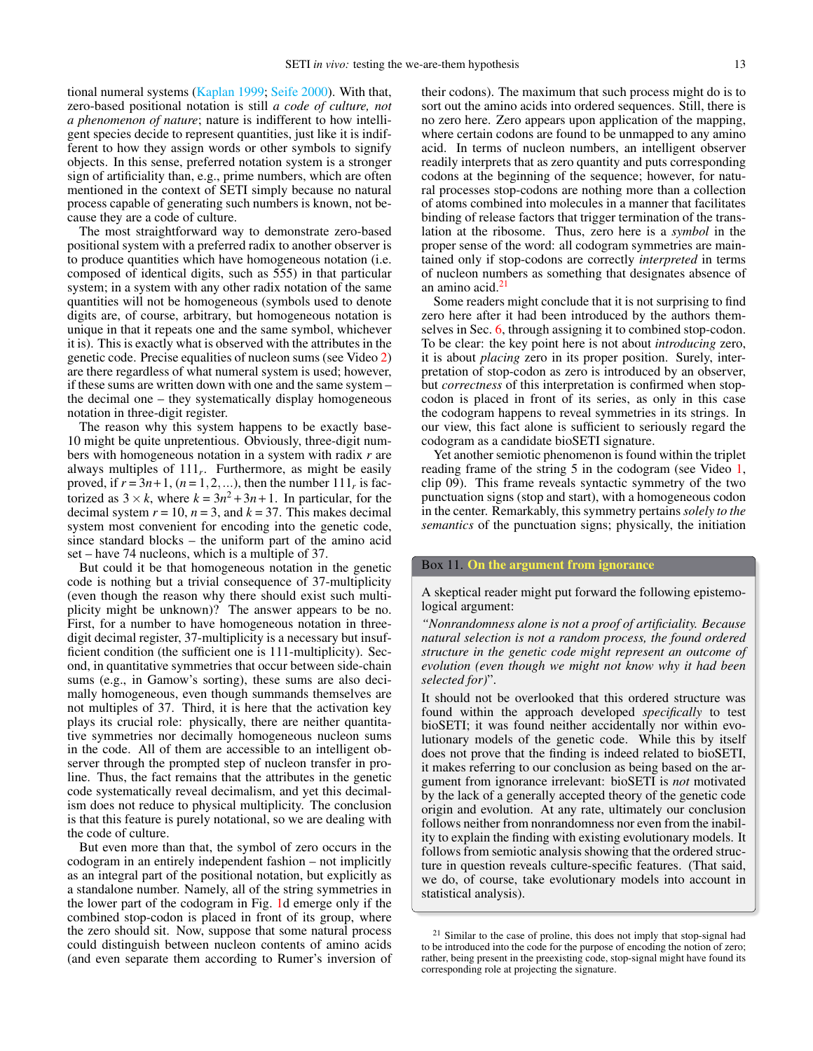tional numeral systems [\(Kaplan](#page-16-49) [1999;](#page-16-49) [Seife](#page-17-48) [2000\)](#page-17-48). With that, zero-based positional notation is still *a code of culture, not a phenomenon of nature*; nature is indifferent to how intelligent species decide to represent quantities, just like it is indifferent to how they assign words or other symbols to signify objects. In this sense, preferred notation system is a stronger sign of artificiality than, e.g., prime numbers, which are often mentioned in the context of SETI simply because no natural process capable of generating such numbers is known, not because they are a code of culture.

The most straightforward way to demonstrate zero-based positional system with a preferred radix to another observer is to produce quantities which have homogeneous notation (i.e. composed of identical digits, such as 555) in that particular system; in a system with any other radix notation of the same quantities will not be homogeneous (symbols used to denote digits are, of course, arbitrary, but homogeneous notation is unique in that it repeats one and the same symbol, whichever it is). This is exactly what is observed with the attributes in the genetic code. Precise equalities of nucleon sums (see Video [2\)](#page-15-0) are there regardless of what numeral system is used; however, if these sums are written down with one and the same system – the decimal one – they systematically display homogeneous notation in three-digit register.

The reason why this system happens to be exactly base-10 might be quite unpretentious. Obviously, three-digit numbers with homogeneous notation in a system with radix *r* are always multiples of 111*<sup>r</sup>* . Furthermore, as might be easily proved, if  $r = 3n + 1$ ,  $(n = 1, 2, ...)$ , then the number  $111<sub>r</sub>$  is factorized as  $3 \times k$ , where  $k = 3n^2 + 3n + 1$ . In particular, for the decimal system  $r = 10$ ,  $n = 3$ , and  $k = 37$ . This makes decimal system most convenient for encoding into the genetic code, since standard blocks – the uniform part of the amino acid set – have 74 nucleons, which is a multiple of 37.

But could it be that homogeneous notation in the genetic code is nothing but a trivial consequence of 37-multiplicity (even though the reason why there should exist such multiplicity might be unknown)? The answer appears to be no. First, for a number to have homogeneous notation in threedigit decimal register, 37-multiplicity is a necessary but insufficient condition (the sufficient one is 111-multiplicity). Second, in quantitative symmetries that occur between side-chain sums (e.g., in Gamow's sorting), these sums are also decimally homogeneous, even though summands themselves are not multiples of 37. Third, it is here that the activation key plays its crucial role: physically, there are neither quantitative symmetries nor decimally homogeneous nucleon sums in the code. All of them are accessible to an intelligent observer through the prompted step of nucleon transfer in proline. Thus, the fact remains that the attributes in the genetic code systematically reveal decimalism, and yet this decimalism does not reduce to physical multiplicity. The conclusion is that this feature is purely notational, so we are dealing with the code of culture.

But even more than that, the symbol of zero occurs in the codogram in an entirely independent fashion – not implicitly as an integral part of the positional notation, but explicitly as a standalone number. Namely, all of the string symmetries in the lower part of the codogram in Fig. [1d](#page-7-1) emerge only if the combined stop-codon is placed in front of its group, where the zero should sit. Now, suppose that some natural process could distinguish between nucleon contents of amino acids (and even separate them according to Rumer's inversion of their codons). The maximum that such process might do is to sort out the amino acids into ordered sequences. Still, there is no zero here. Zero appears upon application of the mapping, where certain codons are found to be unmapped to any amino acid. In terms of nucleon numbers, an intelligent observer readily interprets that as zero quantity and puts corresponding codons at the beginning of the sequence; however, for natural processes stop-codons are nothing more than a collection of atoms combined into molecules in a manner that facilitates binding of release factors that trigger termination of the translation at the ribosome. Thus, zero here is a *symbol* in the proper sense of the word: all codogram symmetries are maintained only if stop-codons are correctly *interpreted* in terms of nucleon numbers as something that designates absence of an amino acid. $21$ 

Some readers might conclude that it is not surprising to find zero here after it had been introduced by the authors themselves in Sec. [6,](#page-6-0) through assigning it to combined stop-codon. To be clear: the key point here is not about *introducing* zero, it is about *placing* zero in its proper position. Surely, interpretation of stop-codon as zero is introduced by an observer, but *correctness* of this interpretation is confirmed when stopcodon is placed in front of its series, as only in this case the codogram happens to reveal symmetries in its strings. In our view, this fact alone is sufficient to seriously regard the codogram as a candidate bioSETI signature.

Yet another semiotic phenomenon is found within the triplet reading frame of the string 5 in the codogram (see Video [1,](#page-15-0) clip 09). This frame reveals syntactic symmetry of the two punctuation signs (stop and start), with a homogeneous codon in the center. Remarkably, this symmetry pertains *solely to the semantics* of the punctuation signs; physically, the initiation

## Box 11. On the argument from ignorance

A skeptical reader might put forward the following epistemological argument:

*"Nonrandomness alone is not a proof of artificiality. Because natural selection is not a random process, the found ordered structure in the genetic code might represent an outcome of evolution (even though we might not know why it had been selected for)*".

It should not be overlooked that this ordered structure was found within the approach developed *specifically* to test bioSETI; it was found neither accidentally nor within evolutionary models of the genetic code. While this by itself does not prove that the finding is indeed related to bioSETI, it makes referring to our conclusion as being based on the argument from ignorance irrelevant: bioSETI is *not* motivated by the lack of a generally accepted theory of the genetic code origin and evolution. At any rate, ultimately our conclusion follows neither from nonrandomness nor even from the inability to explain the finding with existing evolutionary models. It follows from semiotic analysis showing that the ordered structure in question reveals culture-specific features. (That said, we do, of course, take evolutionary models into account in statistical analysis).

<span id="page-12-0"></span> $21$  Similar to the case of proline, this does not imply that stop-signal had to be introduced into the code for the purpose of encoding the notion of zero; rather, being present in the preexisting code, stop-signal might have found its corresponding role at projecting the signature.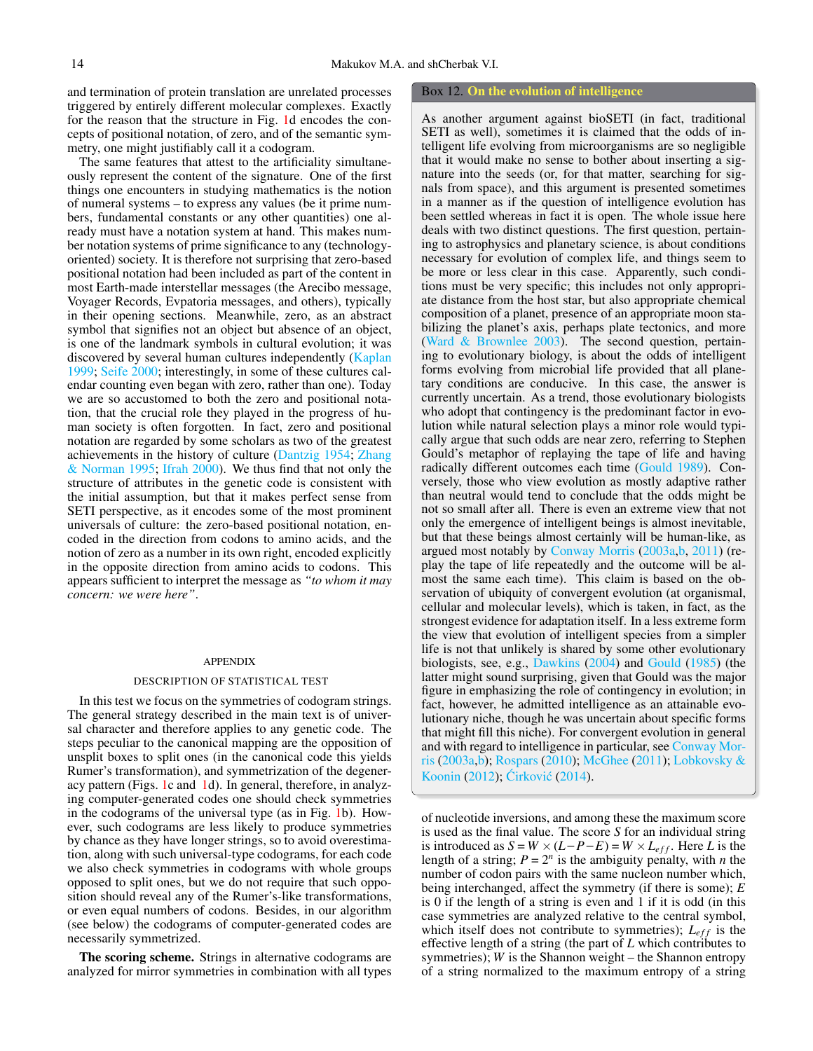and termination of protein translation are unrelated processes triggered by entirely different molecular complexes. Exactly for the reason that the structure in Fig. [1d](#page-7-1) encodes the concepts of positional notation, of zero, and of the semantic symmetry, one might justifiably call it a codogram.

The same features that attest to the artificiality simultaneously represent the content of the signature. One of the first things one encounters in studying mathematics is the notion of numeral systems – to express any values (be it prime numbers, fundamental constants or any other quantities) one already must have a notation system at hand. This makes number notation systems of prime significance to any (technologyoriented) society. It is therefore not surprising that zero-based positional notation had been included as part of the content in most Earth-made interstellar messages (the Arecibo message, Voyager Records, Evpatoria messages, and others), typically in their opening sections. Meanwhile, zero, as an abstract symbol that signifies not an object but absence of an object, is one of the landmark symbols in cultural evolution; it was discovered by several human cultures independently [\(Kaplan](#page-16-49) [1999;](#page-16-49) [Seife](#page-17-48) [2000;](#page-17-48) interestingly, in some of these cultures calendar counting even began with zero, rather than one). Today we are so accustomed to both the zero and positional notation, that the crucial role they played in the progress of human society is often forgotten. In fact, zero and positional notation are regarded by some scholars as two of the greatest achievements in the history of culture [\(Dantzig](#page-16-48) [1954;](#page-16-48) [Zhang](#page-17-50) [& Norman](#page-17-50) [1995;](#page-17-50) [Ifrah](#page-16-51) [2000\)](#page-16-51). We thus find that not only the structure of attributes in the genetic code is consistent with the initial assumption, but that it makes perfect sense from SETI perspective, as it encodes some of the most prominent universals of culture: the zero-based positional notation, encoded in the direction from codons to amino acids, and the notion of zero as a number in its own right, encoded explicitly in the opposite direction from amino acids to codons. This appears sufficient to interpret the message as *"to whom it may concern: we were here"*.

#### APPENDIX

#### DESCRIPTION OF STATISTICAL TEST

<span id="page-13-0"></span>In this test we focus on the symmetries of codogram strings. The general strategy described in the main text is of universal character and therefore applies to any genetic code. The steps peculiar to the canonical mapping are the opposition of unsplit boxes to split ones (in the canonical code this yields Rumer's transformation), and symmetrization of the degeneracy pattern (Figs. [1c](#page-7-1) and [1d](#page-7-1)). In general, therefore, in analyzing computer-generated codes one should check symmetries in the codograms of the universal type (as in Fig. [1b](#page-7-1)). However, such codograms are less likely to produce symmetries by chance as they have longer strings, so to avoid overestimation, along with such universal-type codograms, for each code we also check symmetries in codograms with whole groups opposed to split ones, but we do not require that such opposition should reveal any of the Rumer's-like transformations, or even equal numbers of codons. Besides, in our algorithm (see below) the codograms of computer-generated codes are necessarily symmetrized.

The scoring scheme. Strings in alternative codograms are analyzed for mirror symmetries in combination with all types

# Box 12. On the evolution of intelligence

As another argument against bioSETI (in fact, traditional SETI as well), sometimes it is claimed that the odds of intelligent life evolving from microorganisms are so negligible that it would make no sense to bother about inserting a signature into the seeds (or, for that matter, searching for signals from space), and this argument is presented sometimes in a manner as if the question of intelligence evolution has been settled whereas in fact it is open. The whole issue here deals with two distinct questions. The first question, pertaining to astrophysics and planetary science, is about conditions necessary for evolution of complex life, and things seem to be more or less clear in this case. Apparently, such conditions must be very specific; this includes not only appropriate distance from the host star, but also appropriate chemical composition of a planet, presence of an appropriate moon stabilizing the planet's axis, perhaps plate tectonics, and more [\(Ward & Brownlee](#page-17-6) [2003\)](#page-17-6). The second question, pertaining to evolutionary biology, is about the odds of intelligent forms evolving from microbial life provided that all planetary conditions are conducive. In this case, the answer is currently uncertain. As a trend, those evolutionary biologists who adopt that contingency is the predominant factor in evolution while natural selection plays a minor role would typically argue that such odds are near zero, referring to Stephen Gould's metaphor of replaying the tape of life and having radically different outcomes each time [\(Gould](#page-16-53) [1989\)](#page-16-53). Conversely, those who view evolution as mostly adaptive rather than neutral would tend to conclude that the odds might be not so small after all. There is even an extreme view that not only the emergence of intelligent beings is almost inevitable, but that these beings almost certainly will be human-like, as argued most notably by [Conway Morris](#page-16-54) [\(2003a,](#page-16-54)[b,](#page-16-55) [2011\)](#page-16-8) (replay the tape of life repeatedly and the outcome will be almost the same each time). This claim is based on the observation of ubiquity of convergent evolution (at organismal, cellular and molecular levels), which is taken, in fact, as the strongest evidence for adaptation itself. In a less extreme form the view that evolution of intelligent species from a simpler life is not that unlikely is shared by some other evolutionary biologists, see, e.g., [Dawkins](#page-16-56) [\(2004\)](#page-16-56) and [Gould](#page-16-57) [\(1985\)](#page-16-57) (the latter might sound surprising, given that Gould was the major figure in emphasizing the role of contingency in evolution; in fact, however, he admitted intelligence as an attainable evolutionary niche, though he was uncertain about specific forms that might fill this niche). For convergent evolution in general and with regard to intelligence in particular, see [Conway Mor](#page-16-54)[ris](#page-16-54) [\(2003a](#page-16-54)[,b\)](#page-16-55); [Rospars](#page-17-51) [\(2010\)](#page-17-51); [McGhee](#page-17-52) [\(2011\)](#page-17-52); [Lobkovsky &](#page-16-58) [Koonin](#page-16-58) [\(2012\)](#page-16-58); [Cirkovi](#page-16-59)ć [\(2014\)](#page-16-59).

of nucleotide inversions, and among these the maximum score is used as the final value. The score *S* for an individual string is introduced as  $S = W \times (L - P - E) = W \times L_{eff}$ . Here *L* is the length of a string;  $P = 2^n$  is the ambiguity penalty, with *n* the number of codon pairs with the same nucleon number which, being interchanged, affect the symmetry (if there is some); *E* is 0 if the length of a string is even and 1 if it is odd (in this case symmetries are analyzed relative to the central symbol, which itself does not contribute to symmetries);  $L_{eff}$  is the effective length of a string (the part of *L* which contributes to symmetries); *W* is the Shannon weight – the Shannon entropy of a string normalized to the maximum entropy of a string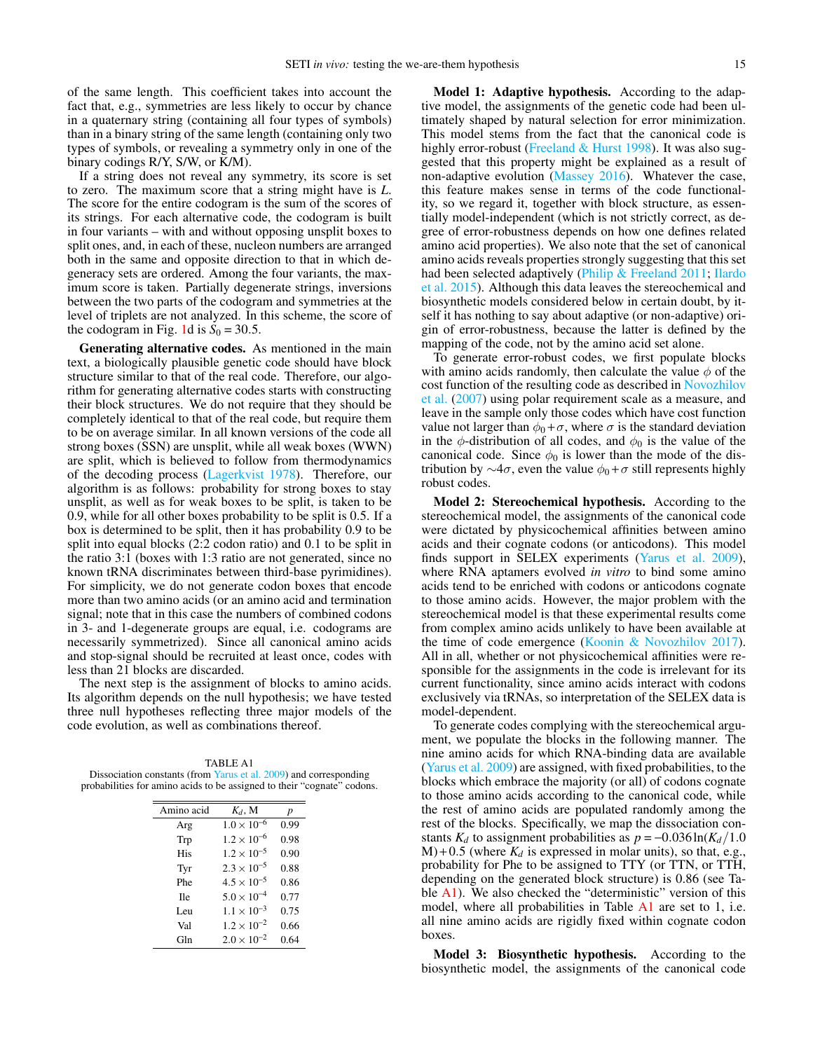of the same length. This coefficient takes into account the fact that, e.g., symmetries are less likely to occur by chance in a quaternary string (containing all four types of symbols) than in a binary string of the same length (containing only two types of symbols, or revealing a symmetry only in one of the binary codings R/Y, S/W, or K/M).

If a string does not reveal any symmetry, its score is set to zero. The maximum score that a string might have is *L*. The score for the entire codogram is the sum of the scores of its strings. For each alternative code, the codogram is built in four variants – with and without opposing unsplit boxes to split ones, and, in each of these, nucleon numbers are arranged both in the same and opposite direction to that in which degeneracy sets are ordered. Among the four variants, the maximum score is taken. Partially degenerate strings, inversions between the two parts of the codogram and symmetries at the level of triplets are not analyzed. In this scheme, the score of the codogram in Fig. [1d](#page-7-1) is  $S_0 = 30.5$ .

Generating alternative codes. As mentioned in the main text, a biologically plausible genetic code should have block structure similar to that of the real code. Therefore, our algorithm for generating alternative codes starts with constructing their block structures. We do not require that they should be completely identical to that of the real code, but require them to be on average similar. In all known versions of the code all strong boxes (SSN) are unsplit, while all weak boxes (WWN) are split, which is believed to follow from thermodynamics of the decoding process [\(Lagerkvist](#page-16-60) [1978\)](#page-16-60). Therefore, our algorithm is as follows: probability for strong boxes to stay unsplit, as well as for weak boxes to be split, is taken to be 0.9, while for all other boxes probability to be split is 0.5. If a box is determined to be split, then it has probability 0.9 to be split into equal blocks (2:2 codon ratio) and 0.1 to be split in the ratio 3:1 (boxes with 1:3 ratio are not generated, since no known tRNA discriminates between third-base pyrimidines). For simplicity, we do not generate codon boxes that encode more than two amino acids (or an amino acid and termination signal; note that in this case the numbers of combined codons in 3- and 1-degenerate groups are equal, i.e. codograms are necessarily symmetrized). Since all canonical amino acids and stop-signal should be recruited at least once, codes with less than 21 blocks are discarded.

The next step is the assignment of blocks to amino acids. Its algorithm depends on the null hypothesis; we have tested three null hypotheses reflecting three major models of the code evolution, as well as combinations thereof.

TABLE A1 Dissociation constants (from [Yarus et al.](#page-17-27) [2009\)](#page-17-27) and corresponding probabilities for amino acids to be assigned to their "cognate" codons.

| Amino acid | $K_d$ , M            | p    |
|------------|----------------------|------|
| Arg        | $1.0 \times 10^{-6}$ | 0.99 |
| Trp        | $1.2 \times 10^{-6}$ | 0.98 |
| His        | $1.2 \times 10^{-5}$ | 0.90 |
| Tyr        | $2.3 \times 10^{-5}$ | 0.88 |
| Phe        | $4.5 \times 10^{-5}$ | 0.86 |
| <b>He</b>  | $5.0 \times 10^{-4}$ | 0.77 |
| Leu        | $1.1 \times 10^{-3}$ | 0.75 |
| Val        | $1.2 \times 10^{-2}$ | 0.66 |
| Gln        | $2.0 \times 10^{-2}$ | 0.64 |

Model 1: Adaptive hypothesis. According to the adaptive model, the assignments of the genetic code had been ultimately shaped by natural selection for error minimization. This model stems from the fact that the canonical code is highly error-robust [\(Freeland & Hurst](#page-16-25) [1998\)](#page-16-25). It was also suggested that this property might be explained as a result of non-adaptive evolution [\(Massey](#page-17-53) [2016\)](#page-17-53). Whatever the case, this feature makes sense in terms of the code functionality, so we regard it, together with block structure, as essentially model-independent (which is not strictly correct, as degree of error-robustness depends on how one defines related amino acid properties). We also note that the set of canonical amino acids reveals properties strongly suggesting that this set had been selected adaptively [\(Philip & Freeland](#page-17-29) [2011;](#page-17-29) [Ilardo](#page-16-32) [et al.](#page-16-32) [2015\)](#page-16-32). Although this data leaves the stereochemical and biosynthetic models considered below in certain doubt, by itself it has nothing to say about adaptive (or non-adaptive) origin of error-robustness, because the latter is defined by the mapping of the code, not by the amino acid set alone.

To generate error-robust codes, we first populate blocks with amino acids randomly, then calculate the value  $\phi$  of the cost function of the resulting code as described in [Novozhilov](#page-17-54) [et al.](#page-17-54) [\(2007\)](#page-17-54) using polar requirement scale as a measure, and leave in the sample only those codes which have cost function value not larger than  $\phi_0 + \sigma$ , where  $\sigma$  is the standard deviation in the  $\phi$ -distribution of all codes, and  $\phi_0$  is the value of the canonical code. Since  $\phi_0$  is lower than the mode of the distribution by  $\sim$ 4 $\sigma$ , even the value  $\phi_0 + \sigma$  still represents highly robust codes.

Model 2: Stereochemical hypothesis. According to the stereochemical model, the assignments of the canonical code were dictated by physicochemical affinities between amino acids and their cognate codons (or anticodons). This model finds support in SELEX experiments [\(Yarus et al.](#page-17-27) [2009\)](#page-17-27), where RNA aptamers evolved *in vitro* to bind some amino acids tend to be enriched with codons or anticodons cognate to those amino acids. However, the major problem with the stereochemical model is that these experimental results come from complex amino acids unlikely to have been available at the time of code emergence [\(Koonin & Novozhilov](#page-16-28) [2017\)](#page-16-28). All in all, whether or not physicochemical affinities were responsible for the assignments in the code is irrelevant for its current functionality, since amino acids interact with codons exclusively via tRNAs, so interpretation of the SELEX data is model-dependent.

To generate codes complying with the stereochemical argument, we populate the blocks in the following manner. The nine amino acids for which RNA-binding data are available [\(Yarus et al.](#page-17-27) [2009\)](#page-17-27) are assigned, with fixed probabilities, to the blocks which embrace the majority (or all) of codons cognate to those amino acids according to the canonical code, while the rest of amino acids are populated randomly among the rest of the blocks. Specifically, we map the dissociation constants  $K_d$  to assignment probabilities as  $p = -0.036 \ln(K_d/1.0$  $M$ ) + 0.5 (where  $K_d$  is expressed in molar units), so that, e.g., probability for Phe to be assigned to TTY (or TTN, or TTH, depending on the generated block structure) is 0.86 (see Ta-ble [A1\)](#page-6-1). We also checked the "deterministic" version of this model, where all probabilities in Table [A1](#page-6-1) are set to 1, i.e. all nine amino acids are rigidly fixed within cognate codon boxes.

Model 3: Biosynthetic hypothesis. According to the biosynthetic model, the assignments of the canonical code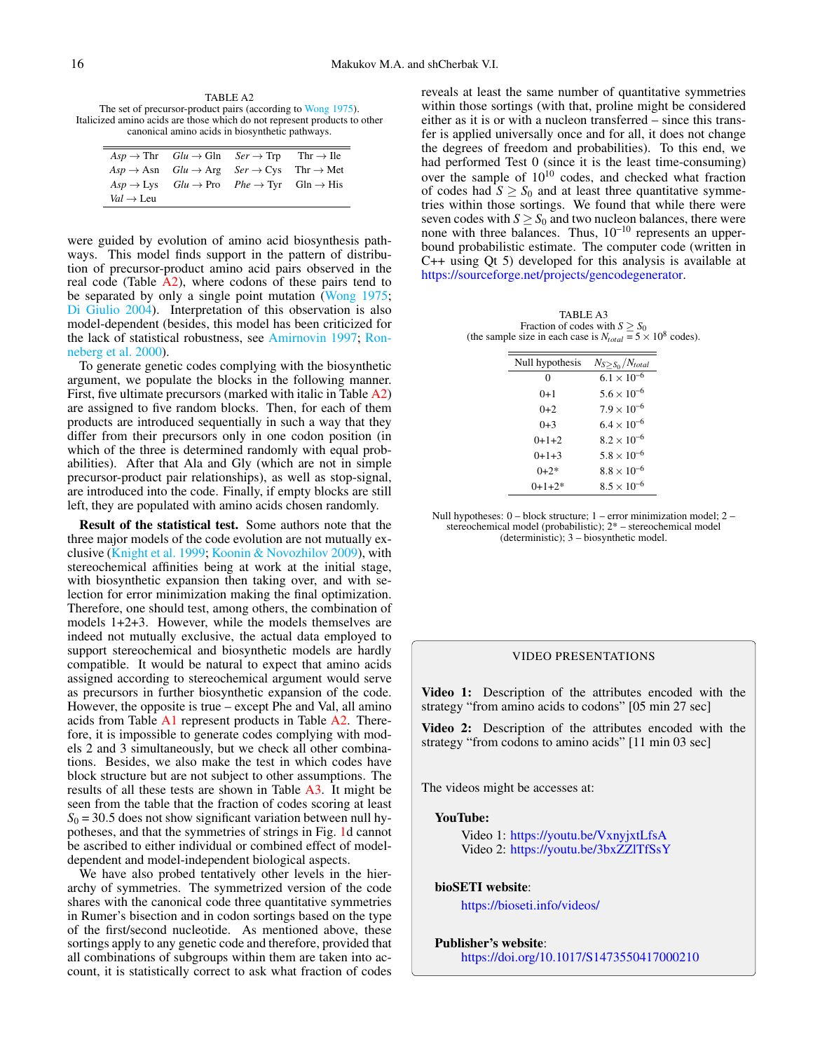<span id="page-15-1"></span>TABLE A2 The set of precursor-product pairs (according to [Wong](#page-17-28) [1975\)](#page-17-28). Italicized amino acids are those which do not represent products to other canonical amino acids in biosynthetic pathways.

|                       | $Asp \to \text{Thr}$ $Glu \to \text{Gln}$ $Ser \to \text{Trp}$ Thr $\to$ Ile |  |
|-----------------------|------------------------------------------------------------------------------|--|
|                       | $Asp \to Asn$ $Glu \to Arg$ $Ser \to Cys$ Thr $\to Met$                      |  |
|                       | $Asp \to Lys$ $Glu \to Pro$ $Phe \to \text{Tyr}$ $Gln \to His$               |  |
| $Val \rightarrow Leu$ |                                                                              |  |

were guided by evolution of amino acid biosynthesis pathways. This model finds support in the pattern of distribution of precursor-product amino acid pairs observed in the real code (Table  $A2$ ), where codons of these pairs tend to be separated by only a single point mutation [\(Wong](#page-17-28) [1975;](#page-17-28) [Di Giulio](#page-16-30) [2004\)](#page-16-30). Interpretation of this observation is also model-dependent (besides, this model has been criticized for the lack of statistical robustness, see [Amirnovin](#page-16-31) [1997;](#page-16-31) [Ron](#page-17-24)[neberg et al.](#page-17-24) [2000\)](#page-17-24).

To generate genetic codes complying with the biosynthetic argument, we populate the blocks in the following manner. First, five ultimate precursors (marked with italic in Table [A2\)](#page-15-1) are assigned to five random blocks. Then, for each of them products are introduced sequentially in such a way that they differ from their precursors only in one codon position (in which of the three is determined randomly with equal probabilities). After that Ala and Gly (which are not in simple precursor-product pair relationships), as well as stop-signal, are introduced into the code. Finally, if empty blocks are still left, they are populated with amino acids chosen randomly.

Result of the statistical test. Some authors note that the three major models of the code evolution are not mutually exclusive [\(Knight et al.](#page-16-26) [1999;](#page-16-26) [Koonin & Novozhilov](#page-16-27) [2009\)](#page-16-27), with stereochemical affinities being at work at the initial stage, with biosynthetic expansion then taking over, and with selection for error minimization making the final optimization. Therefore, one should test, among others, the combination of models 1+2+3. However, while the models themselves are indeed not mutually exclusive, the actual data employed to support stereochemical and biosynthetic models are hardly compatible. It would be natural to expect that amino acids assigned according to stereochemical argument would serve as precursors in further biosynthetic expansion of the code. However, the opposite is true – except Phe and Val, all amino acids from Table [A1](#page-6-1) represent products in Table [A2.](#page-15-1) Therefore, it is impossible to generate codes complying with models 2 and 3 simultaneously, but we check all other combinations. Besides, we also make the test in which codes have block structure but are not subject to other assumptions. The results of all these tests are shown in Table [A3.](#page-15-2) It might be seen from the table that the fraction of codes scoring at least  $S_0$  = 30.5 does not show significant variation between null hypotheses, and that the symmetries of strings in Fig. [1d](#page-7-1) cannot be ascribed to either individual or combined effect of modeldependent and model-independent biological aspects.

We have also probed tentatively other levels in the hierarchy of symmetries. The symmetrized version of the code shares with the canonical code three quantitative symmetries in Rumer's bisection and in codon sortings based on the type of the first/second nucleotide. As mentioned above, these sortings apply to any genetic code and therefore, provided that all combinations of subgroups within them are taken into account, it is statistically correct to ask what fraction of codes reveals at least the same number of quantitative symmetries within those sortings (with that, proline might be considered either as it is or with a nucleon transferred – since this transfer is applied universally once and for all, it does not change the degrees of freedom and probabilities). To this end, we had performed Test 0 (since it is the least time-consuming) over the sample of  $10^{10}$  codes, and checked what fraction of codes had  $S \geq S_0$  and at least three quantitative symmetries within those sortings. We found that while there were seven codes with  $S \geq S_0$  and two nucleon balances, there were none with three balances. Thus, 10<sup>-10</sup> represents an upperbound probabilistic estimate. The computer code (written in C++ using Qt 5) developed for this analysis is available at [https://sourceforge.net/projects/gencodegenerator.](https://sourceforge.net/projects/gencodegenerator)

<span id="page-15-2"></span>TABLE A3 Fraction of codes with  $S \geq S_0$ (the sample size in each case is  $N_{total} = 5 \times 10^8$  codes).

| Null hypothesis | $N_{S\geq S_0}/N_{total}$ |
|-----------------|---------------------------|
| $\Omega$        | $6.1 \times 10^{-6}$      |
| $0+1$           | $5.6 \times 10^{-6}$      |
| $0+2$           | $7.9 \times 10^{-6}$      |
| $0+3$           | $6.4 \times 10^{-6}$      |
| $0+1+2$         | $8.2 \times 10^{-6}$      |
| $0+1+3$         | $5.8 \times 10^{-6}$      |
| $0+2*$          | $8.8 \times 10^{-6}$      |
| $0+1+2*$        | $8.5 \times 10^{-6}$      |

Null hypotheses: 0 – block structure; 1 – error minimization model; 2 – stereochemical model (probabilistic); 2\* – stereochemical model (deterministic); 3 – biosynthetic model.

#### VIDEO PRESENTATIONS

<span id="page-15-0"></span>Video 1: Description of the attributes encoded with the strategy "from amino acids to codons" [05 min 27 sec]

Video 2: Description of the attributes encoded with the strategy "from codons to amino acids" [11 min 03 sec]

The videos might be accesses at:

### YouTube:

Video 1: <https://youtu.be/VxnyjxtLfsA> Video 2: <https://youtu.be/3bxZZlTfSsY>

bioSETI website:

<https://bioseti.info/videos/>

#### Publisher's website:

<https://doi.org/10.1017/S1473550417000210>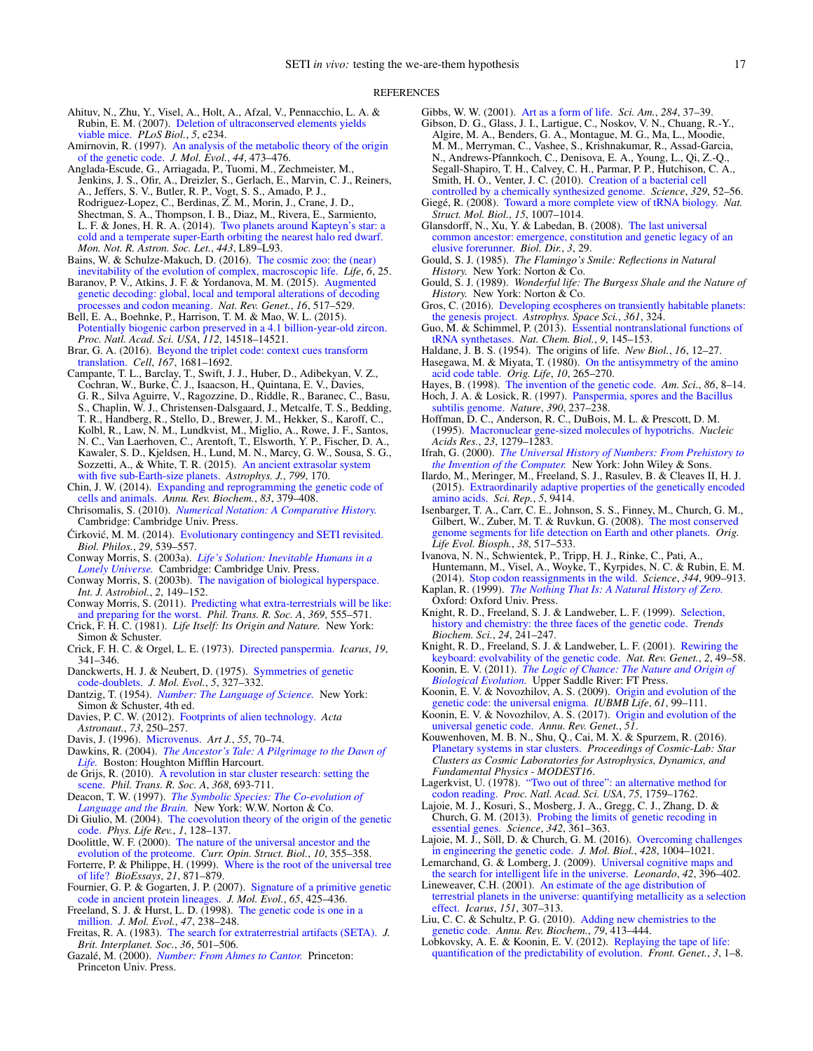#### REFERENCES

- <span id="page-16-24"></span>Ahituv, N., Zhu, Y., Visel, A., Holt, A., Afzal, V., Pennacchio, L. A. & Rubin, E. M. (2007). [Deletion of ultraconserved elements yields](http://dx.doi.org/10.1371/journal.pbio.0050234) [viable mice.](http://dx.doi.org/10.1371/journal.pbio.0050234) *PLoS Biol.*, *5*, e234.
- <span id="page-16-31"></span>Amirnovin, R. (1997). [An analysis of the metabolic theory of the origin](http://dx.doi.org/10.1007/PL00006170) [of the genetic code.](http://dx.doi.org/10.1007/PL00006170) *J. Mol. Evol.*, *44*, 473–476.
- <span id="page-16-1"></span>Anglada-Escude, G., Arriagada, P., Tuomi, M., Zechmeister, M., Jenkins, J. S., Ofir, A., Dreizler, S., Gerlach, E., Marvin, C. J., Reiners, A., Jeffers, S. V., Butler, R. P., Vogt, S. S., Amado, P. J., Rodriguez-Lopez, C., Berdinas, Z. M., Morin, J., Crane, J. D., Shectman, S. A., Thompson, I. B., Diaz, M., Rivera, E., Sarmiento, L. F. & Jones, H. R. A. (2014). [Two planets around Kapteyn's star: a](http://dx.doi.org/10.1093/mnrasl/slu076) [cold and a temperate super-Earth orbiting the nearest halo red dwarf.](http://dx.doi.org/10.1093/mnrasl/slu076) *Mon. Not. R. Astron. Soc. Let.*, *443*, L89–L93.
- <span id="page-16-9"></span>Bains, W. & Schulze-Makuch, D. (2016). [The cosmic zoo: the \(near\)](http://dx.doi.org/10.3390/life6030025) [inevitability of the evolution of complex, macroscopic life.](http://dx.doi.org/10.3390/life6030025) *Life*, *6*, 25.
- <span id="page-16-23"></span>Baranov, P. V., Atkins, J. F. & Yordanova, M. M. (2015). [Augmented](http://dx.doi.org/10.1038/nrg3963) [genetic decoding: global, local and temporal alterations of decoding](http://dx.doi.org/10.1038/nrg3963) [processes and codon meaning.](http://dx.doi.org/10.1038/nrg3963) *Nat. Rev. Genet.*, *16*, 517–529.
- <span id="page-16-13"></span>Bell, E. A., Boehnke, P., Harrison, T. M. & Mao, W. L. (2015). [Potentially biogenic carbon preserved in a 4.1 billion-year-old zircon.](http://dx.doi.org/10.1073/pnas.1517557112) *Proc. Natl. Acad. Sci. USA*, *112*, 14518–14521.
- <span id="page-16-33"></span>Brar, G. A. (2016). [Beyond the triplet code: context cues transform](http://dx.doi.org/10.1016/j.cell.2016.09.022) [translation.](http://dx.doi.org/10.1016/j.cell.2016.09.022) *Cell*, *167*, 1681–1692.
- <span id="page-16-2"></span>Campante, T. L., Barclay, T., Swift, J. J., Huber, D., Adibekyan, V. Z., Cochran, W., Burke, C. J., Isaacson, H., Quintana, E. V., Davies, G. R., Silva Aguirre, V., Ragozzine, D., Riddle, R., Baranec, C., Basu, S., Chaplin, W. J., Christensen-Dalsgaard, J., Metcalfe, T. S., Bedding, T. R., Handberg, R., Stello, D., Brewer, J. M., Hekker, S., Karoff, C., Kolbl, R., Law, N. M., Lundkvist, M., Miglio, A., Rowe, J. F., Santos, N. C., Van Laerhoven, C., Arentoft, T., Elsworth, Y. P., Fischer, D. A., Kawaler, S. D., Kjeldsen, H., Lund, M. N., Marcy, G. W., Sousa, S. G., Sozzetti, A., & White, T. R. (2015). [An ancient extrasolar system](http://dx.doi.org/10.1088/0004-637X/799/2/170) [with five sub-Earth-size planets.](http://dx.doi.org/10.1088/0004-637X/799/2/170) *Astrophys. J.*, *799*, 170.
- <span id="page-16-37"></span>Chin, J. W. (2014). [Expanding and reprogramming the genetic code of](http://dx.doi.org/10.1146/annurev-biochem-060713-035737) [cells and animals.](http://dx.doi.org/10.1146/annurev-biochem-060713-035737) *Annu. Rev. Biochem.*, *83*, 379–408.
- <span id="page-16-52"></span>Chrisomalis, S. (2010). *[Numerical Notation: A Comparative History.](https://books.google.com/books?id=kXZhBAAAQBAJ)* Cambridge: Cambridge Univ. Press.
- <span id="page-16-59"></span>Ćirković, M. M. (2014). [Evolutionary contingency and SETI revisited.](http://dx.doi.org/10.1007/s10539-013-9397-8) *Biol. Philos.*, *29*, 539–557.
- <span id="page-16-54"></span>Conway Morris, S. (2003a). *[Life's Solution: Inevitable Humans in a](https://books.google.com/books?id=EdQLAQAAQBAJ) [Lonely Universe.](https://books.google.com/books?id=EdQLAQAAQBAJ)* Cambridge: Cambridge Univ. Press.
- <span id="page-16-55"></span>Conway Morris, S. (2003b). [The navigation of biological hyperspace.](http://dx.doi.org/10.1017/S1473550403001460) *Int. J. Astrobiol.*, *2*, 149–152.
- <span id="page-16-8"></span>Conway Morris, S. (2011). [Predicting what extra-terrestrials will be like:](http://dx.doi.org/10.1098/rsta.2010.0276) [and preparing for the worst.](http://dx.doi.org/10.1098/rsta.2010.0276) *Phil. Trans. R. Soc. A*, *369*, 555–571.
- <span id="page-16-6"></span>Crick, F. H. C. (1981). *Life Itself: Its Origin and Nature.* New York: Simon & Schuster.
- <span id="page-16-5"></span>Crick, F. H. C. & Orgel, L. E. (1973). [Directed panspermia.](http://dx.doi.org/10.1016/0019-1035(73)90110-3) *Icarus*, *19*, 341–346.
- <span id="page-16-40"></span>Danckwerts, H. J. & Neubert, D. (1975). [Symmetries of genetic](http://dx.doi.org/10.1007/BF01732219) [code-doublets.](http://dx.doi.org/10.1007/BF01732219) *J. Mol. Evol.*, *5*, 327–332.
- <span id="page-16-48"></span>Dantzig, T. (1954). *[Number: The Language of Science.](https://books.google.kz/books?id=Pg_RKtlVlNMC)* New York: Simon & Schuster, 4th ed.
- <span id="page-16-17"></span>Davies, P. C. W. (2012). [Footprints of alien technology.](http://dx.doi.org/10.1016/j.actaastro.2011.06.022) *Acta Astronaut.*, *73*, 250–257.
- <span id="page-16-19"></span>Davis, J. (1996). [Microvenus.](http://dx.doi.org/10.1080/00043249.1996.10791743) *Art J.*, *55*, 70–74.
- <span id="page-16-56"></span>Dawkins, R. (2004). *[The Ancestor's Tale: A Pilgrimage to the Dawn of](https://books.google.com/books?id=Scxg1Pu3dOsC) [Life.](https://books.google.com/books?id=Scxg1Pu3dOsC)* Boston: Houghton Mifflin Harcourt.
- <span id="page-16-11"></span>de Grijs, R. (2010). [A revolution in star cluster research: setting the](http://dx.doi.org/10.1098/rsta.2009.0253) [scene.](http://dx.doi.org/10.1098/rsta.2009.0253) *Phil. Trans. R. Soc. A*, *368*, 693-711.
- <span id="page-16-47"></span>Deacon, T. W. (1997). *[The Symbolic Species: The Co-evolution of](https://books.google.com/books?id=u6IXngEACAAJ) [Language and the Brain.](https://books.google.com/books?id=u6IXngEACAAJ)* New York: W.W. Norton & Co.
- <span id="page-16-30"></span>Di Giulio, M. (2004). [The coevolution theory of the origin of the genetic](http://dx.doi.org/10.1016/j.plrev.2004.05.001) [code.](http://dx.doi.org/10.1016/j.plrev.2004.05.001) *Phys. Life Rev.*, *1*, 128–137.
- <span id="page-16-10"></span>Doolittle, W. F. (2000). [The nature of the universal ancestor and the](http://dx.doi.org/10.1016/S0959-440X(00)00096-8) [evolution of the proteome.](http://dx.doi.org/10.1016/S0959-440X(00)00096-8) *Curr. Opin. Struct. Biol.*, *10*, 355–358.
- <span id="page-16-45"></span>Forterre, P. & Philippe, H. (1999). [Where is the root of the universal tree](http://dx.doi.org/10.1002/(SICI)1521-1878(199910)21:10<871::AID-BIES10>3.0.CO;2-Q) [of life?](http://dx.doi.org/10.1002/(SICI)1521-1878(199910)21:10<871::AID-BIES10>3.0.CO;2-Q) *BioEssays*, *21*, 871–879.
- <span id="page-16-29"></span>Fournier, G. P. & Gogarten, J. P. (2007). [Signature of a primitive genetic](http://dx.doi.org/10.1007/s00239-007-9024-x) [code in ancient protein lineages.](http://dx.doi.org/10.1007/s00239-007-9024-x) *J. Mol. Evol.*, *65*, 425–436.
- <span id="page-16-25"></span>Freeland, S. J. & Hurst, L. D. (1998). [The genetic code is one in a](http://dx.doi.org/10.1007/PL00006381) [million.](http://dx.doi.org/10.1007/PL00006381) *J. Mol. Evol.*, *47*, 238–248.
- <span id="page-16-16"></span>Freitas, R. A. (1983). [The search for extraterrestrial artifacts \(SETA\).](http://adsabs.harvard.edu/abs/1983JBIS...36..501F) *J. Brit. Interplanet. Soc.*, *36*, 501–506.
- <span id="page-16-50"></span>Gazalé, M. (2000). *[Number: From Ahmes to Cantor.](https://books.google.com/books?id=WO1gQYIrG24C)* Princeton: Princeton Univ. Press.
- <span id="page-16-20"></span>Gibbs, W. W. (2001). [Art as a form of life.](http://dx.doi.org/10.1038/scientificamerican0401-40) *Sci. Am.*, *284*, 37–39.
- <span id="page-16-18"></span>Gibson, D. G., Glass, J. I., Lartigue, C., Noskov, V. N., Chuang, R.-Y., Algire, M. A., Benders, G. A., Montague, M. G., Ma, L., Moodie, M. M., Merryman, C., Vashee, S., Krishnakumar, R., Assad-Garcia, N., Andrews-Pfannkoch, C., Denisova, E. A., Young, L., Qi, Z.-Q., Segall-Shapiro, T. H., Calvey, C. H., Parmar, P. P., Hutchison, C. A., Smith, H. O., Venter, J. C. (2010). [Creation of a bacterial cell](http://dx.doi.org/10.1126/science.1190719) [controlled by a chemically synthesized genome.](http://dx.doi.org/10.1126/science.1190719) *Science*, *329*, 52–56.
- <span id="page-16-34"></span>Giegé, R. (2008). [Toward a more complete view of tRNA biology.](http://dx.doi.org/10.1038/nsmb.1498) *Nat. Struct. Mol. Biol.*, *15*, 1007–1014.
- <span id="page-16-46"></span>Glansdorff, N., Xu, Y. & Labedan, B. (2008). [The last universal](http://dx.doi.org/10.1186/1745-6150-3-29) [common ancestor: emergence, constitution and genetic legacy of an](http://dx.doi.org/10.1186/1745-6150-3-29) [elusive forerunner.](http://dx.doi.org/10.1186/1745-6150-3-29) *Biol. Dir.*, *3*, 29.
- <span id="page-16-57"></span>Gould, S. J. (1985). *The Flamingo's Smile: Reflections in Natural History.* New York: Norton & Co.
- <span id="page-16-53"></span>Gould, S. J. (1989). *Wonderful life: The Burgess Shale and the Nature of History.* New York: Norton & Co.
- <span id="page-16-0"></span>Gros, C. (2016). [Developing ecospheres on transiently habitable planets:](http://dx.doi.org/10.1007/s10509-016-2911-0) [the genesis project.](http://dx.doi.org/10.1007/s10509-016-2911-0) *Astrophys. Space Sci.*, *361*, 324.
- <span id="page-16-35"></span>Guo, M. & Schimmel, P. (2013). [Essential nontranslational functions of](http://dx.doi.org/10.1038/nchembio.1158) [tRNA synthetases.](http://dx.doi.org/10.1038/nchembio.1158) *Nat. Chem. Biol.*, *9*, 145–153.
- <span id="page-16-4"></span>Haldane, J. B. S. (1954). The origins of life. *New Biol.*, *16*, 12–27.
- <span id="page-16-41"></span>Hasegawa, M. & Miyata, T. (1980). [On the antisymmetry of the amino](http://dx.doi.org/10.1007/BF00928404) [acid code table.](http://dx.doi.org/10.1007/BF00928404) *Orig. Life*, *10*, 265–270.
- <span id="page-16-42"></span><span id="page-16-15"></span>Hayes, B. (1998). [The invention of the genetic code.](https://www.americanscientist.org/issues/num2/1998/1/the-invention-of-the-genetic-code/1) *Am. Sci.*, *86*, 8–14. Hoch, J. A. & Losick, R. (1997). [Panspermia, spores and the Bacillus](http://dx.doi.org/10.1038/36747)
- [subtilis genome.](http://dx.doi.org/10.1038/36747) *Nature*, *390*, 237–238.
- <span id="page-16-44"></span>Hoffman, D. C., Anderson, R. C., DuBois, M. L. & Prescott, D. M. (1995). [Macronuclear gene-sized molecules of hypotrichs.](http://dx.doi.org/10.1093/nar/23.8.1279) *Nucleic Acids Res.*, *23*, 1279–1283.
- <span id="page-16-51"></span>Ifrah, G. (2000). *[The Universal History of Numbers: From Prehistory to](https://books.google.com/books?id=wxClQgAACAAJ) [the Invention of the Computer.](https://books.google.com/books?id=wxClQgAACAAJ)* New York: John Wiley & Sons.
- <span id="page-16-32"></span>Ilardo, M., Meringer, M., Freeland, S. J., Rasulev, B. & Cleaves II, H. J. (2015). [Extraordinarily adaptive properties of the genetically encoded](http://dx.doi.org/10.1038/srep09414) [amino acids.](http://dx.doi.org/10.1038/srep09414) *Sci. Rep.*, *5*, 9414.
- <span id="page-16-21"></span>Isenbarger, T. A., Carr, C. E., Johnson, S. S., Finney, M., Church, G. M., Gilbert, W., Zuber, M. T. & Ruvkun, G. (2008). [The most conserved](http://dx.doi.org/10.1007/s11084-008-9148-z) [genome segments for life detection on Earth and other planets.](http://dx.doi.org/10.1007/s11084-008-9148-z) *Orig. Life Evol. Biosph.*, *38*, 517–533.
- <span id="page-16-43"></span>Ivanova, N. N., Schwientek, P., Tripp, H. J., Rinke, C., Pati, A., Huntemann, M., Visel, A., Woyke, T., Kyrpides, N. C. & Rubin, E. M. (2014). [Stop codon reassignments in the wild.](http://dx.doi.org/10.1126/science.1250691) *Science*, *344*, 909–913.
- <span id="page-16-49"></span>Kaplan, R. (1999). *[The Nothing That Is: A Natural History of Zero.](https://books.google.com/books?id=ZtDnCwAAQBAJ)* Oxford: Oxford Univ. Press.
- <span id="page-16-26"></span>Knight, R. D., Freeland, S. J. & Landweber, L. F. (1999). [Selection,](http://dx.doi.org/10.1016/S0968-0004(99)01392-4) [history and chemistry: the three faces of the genetic code.](http://dx.doi.org/10.1016/S0968-0004(99)01392-4) *Trends Biochem. Sci.*, *24*, 241–247.
- <span id="page-16-22"></span>Knight, R. D., Freeland, S. J. & Landweber, L. F. (2001). [Rewiring the](http://dx.doi.org/10.1038/35047500) [keyboard: evolvability of the genetic code.](http://dx.doi.org/10.1038/35047500) *Nat. Rev. Genet.*, *2*, 49–58.
- <span id="page-16-7"></span>Koonin, E. V. (2011). *[The Logic of Chance: The Nature and Origin of](https://books.google.com/books?id=fvmv2kU6PrYC) [Biological Evolution.](https://books.google.com/books?id=fvmv2kU6PrYC)* Upper Saddle River: FT Press.
- <span id="page-16-27"></span>Koonin, E. V. & Novozhilov, A. S. (2009). [Origin and evolution of the](http://dx.doi.org/10.1002/iub.146) [genetic code: the universal enigma.](http://dx.doi.org/10.1002/iub.146) *IUBMB Life*, *61*, 99–111.
- <span id="page-16-28"></span>Koonin, E. V. & Novozhilov, A. S. (2017). [Origin and evolution of the](http://dx.doi.org/10.1146/annurev-genet-120116-024713) [universal genetic code.](http://dx.doi.org/10.1146/annurev-genet-120116-024713) *Annu. Rev. Genet.*, *51*.
- <span id="page-16-12"></span>Kouwenhoven, M. B. N., Shu, Q., Cai, M. X. & Spurzem, R. (2016). [Planetary systems in star clusters.](https://arxiv.org/abs/1609.00898) *Proceedings of Cosmic-Lab: Star Clusters as Cosmic Laboratories for Astrophysics, Dynamics, and Fundamental Physics - MODEST16*.
- <span id="page-16-60"></span>Lagerkvist, U. (1978). ["Two out of three": an alternative method for](http://dx.doi.org/10.1073/pnas.75.4.1759) [codon reading.](http://dx.doi.org/10.1073/pnas.75.4.1759) *Proc. Natl. Acad. Sci. USA*, *75*, 1759–1762.
- <span id="page-16-39"></span>Lajoie, M. J., Kosuri, S., Mosberg, J. A., Gregg, C. J., Zhang, D. & Church, G. M. (2013). [Probing the limits of genetic recoding in](http://dx.doi.org/10.1126/science.1241460) [essential genes.](http://dx.doi.org/10.1126/science.1241460) *Science*, *342*, 361–363.
- <span id="page-16-38"></span>Lajoie, M. J., Söll, D. & Church, G. M. (2016). [Overcoming challenges](http://dx.doi.org/10.1016/j.jmb.2015.09.003) [in engineering the genetic code.](http://dx.doi.org/10.1016/j.jmb.2015.09.003) *J. Mol. Biol.*, *428*, 1004–1021.
- <span id="page-16-14"></span>Lemarchand, G. & Lomberg, J. (2009). [Universal cognitive maps and](http://dx.doi.org/10.1162/leon.2009.42.5.396) [the search for intelligent life in the universe.](http://dx.doi.org/10.1162/leon.2009.42.5.396) *Leonardo*, *42*, 396–402.
- <span id="page-16-3"></span>Lineweaver, C.H. (2001). [An estimate of the age distribution of](http://dx.doi.org/10.1006/icar.2001.6607) [terrestrial planets in the universe: quantifying metallicity as a selection](http://dx.doi.org/10.1006/icar.2001.6607) [effect.](http://dx.doi.org/10.1006/icar.2001.6607) *Icarus*, *151*, 307–313.
- <span id="page-16-36"></span>Liu, C. C. & Schultz, P. G. (2010). [Adding new chemistries to the](http://dx.doi.org/10.1146/annurev.biochem.052308.105824) [genetic code.](http://dx.doi.org/10.1146/annurev.biochem.052308.105824) *Annu. Rev. Biochem.*, *79*, 413–444.
- <span id="page-16-58"></span>Lobkovsky, A. E. & Koonin, E. V. (2012). [Replaying the tape of life:](http://dx.doi.org/10.3389/fgene.2012.00246) [quantification of the predictability of evolution.](http://dx.doi.org/10.3389/fgene.2012.00246) *Front. Genet.*, *3*, 1–8.